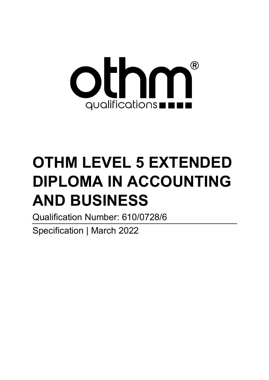

# **OTHM LEVEL 5 EXTENDED DIPLOMA IN ACCOUNTING AND BUSINESS**

Qualification Number: 610/0728/6

Specification | March 2022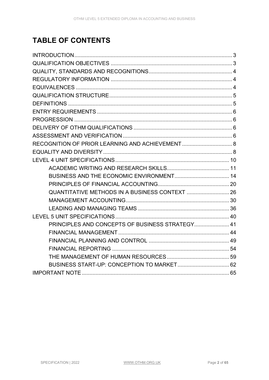# **TABLE OF CONTENTS**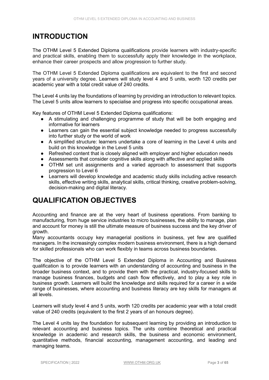## <span id="page-2-0"></span>**INTRODUCTION**

The OTHM Level 5 Extended Diploma qualifications provide learners with industry-specific and practical skills, enabling them to successfully apply their knowledge in the workplace, enhance their career prospects and allow progression to further study.

The OTHM Level 5 Extended Diploma qualifications are equivalent to the first and second years of a university degree. Learners will study level 4 and 5 units, worth 120 credits per academic year with a total credit value of 240 credits.

The Level 4 units lay the foundations of learning by providing an introduction to relevant topics. The Level 5 units allow learners to specialise and progress into specific occupational areas.

Key features of OTHM Level 5 Extended Diploma qualifications:

- A stimulating and challenging programme of study that will be both engaging and informative for learners
- Learners can gain the essential subject knowledge needed to progress successfully into further study or the world of work
- A simplified structure: learners undertake a core of learning in the Level 4 units and build on this knowledge in the Level 5 units
- Refreshed content that is closely aligned with employer and higher education needs
- Assessments that consider cognitive skills along with affective and applied skills
- OTHM set unit assignments and a varied approach to assessment that supports progression to Level 6
- Learners will develop knowledge and academic study skills including active research skills, effective writing skills, analytical skills, critical thinking, creative problem-solving, decision-making and digital literacy.

## <span id="page-2-1"></span>**QUALIFICATION OBJECTIVES**

Accounting and finance are at the very heart of business operations. From banking to manufacturing, from huge service industries to micro businesses, the ability to manage, plan and account for money is still the ultimate measure of business success and the key driver of growth.

Many accountants occupy key managerial positions in business, yet few are qualified managers. In the increasingly complex modern business environment, there is a high demand for skilled professionals who can work flexibly in teams across business boundaries.

The objective of the OTHM Level 5 Extended Diploma in Accounting and Business qualification is to provide learners with an understanding of accounting and business in the broader business context, and to provide them with the practical, industry-focused skills to manage business finances, budgets and cash flow effectively, and to play a key role in business growth. Learners will build the knowledge and skills required for a career in a wide range of businesses, where accounting and business literacy are key skills for managers at all levels.

Learners will study level 4 and 5 units, worth 120 credits per academic year with a total credit value of 240 credits (equivalent to the first 2 years of an honours degree).

The Level 4 units lay the foundation for subsequent learning by providing an introduction to relevant accounting and business topics. The units combine theoretical and practical knowledge in academic and research skills, the business and economic environment, quantitative methods, financial accounting, management accounting, and leading and managing teams.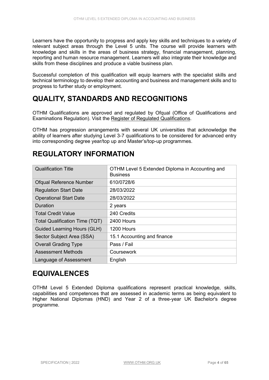Learners have the opportunity to progress and apply key skills and techniques to a variety of relevant subject areas through the Level 5 units. The course will provide learners with knowledge and skills in the areas of business strategy, financial management, planning, reporting and human resource management. Learners will also integrate their knowledge and skills from these disciplines and produce a viable business plan.

Successful completion of this qualification will equip learners with the specialist skills and technical terminology to develop their accounting and business and management skills and to progress to further study or employment.

## <span id="page-3-0"></span>**QUALITY, STANDARDS AND RECOGNITIONS**

OTHM Qualifications are approved and regulated by Ofqual (Office of Qualifications and Examinations Regulation). Visit the Register of [Regulated Qualifications.](http://register.ofqual.gov.uk/)

OTHM has progression arrangements with several UK universities that acknowledge the ability of learners after studying Level 3-7 qualifications to be considered for advanced entry into corresponding degree year/top up and Master's/top-up programmes.

## <span id="page-3-1"></span>**REGULATORY INFORMATION**

| <b>Qualification Title</b>         | OTHM Level 5 Extended Diploma in Accounting and<br><b>Business</b> |
|------------------------------------|--------------------------------------------------------------------|
| <b>Ofqual Reference Number</b>     | 610/0728/6                                                         |
| <b>Regulation Start Date</b>       | 28/03/2022                                                         |
| <b>Operational Start Date</b>      | 28/03/2022                                                         |
| Duration                           | 2 years                                                            |
| <b>Total Credit Value</b>          | 240 Credits                                                        |
| Total Qualification Time (TQT)     | 2400 Hours                                                         |
| <b>Guided Learning Hours (GLH)</b> | 1200 Hours                                                         |
| Sector Subject Area (SSA)          | 15.1 Accounting and finance                                        |
| <b>Overall Grading Type</b>        | Pass / Fail                                                        |
| <b>Assessment Methods</b>          | Coursework                                                         |
| Language of Assessment             | English                                                            |

## <span id="page-3-2"></span>**EQUIVALENCES**

OTHM Level 5 Extended Diploma qualifications represent practical knowledge, skills, capabilities and competences that are assessed in academic terms as being equivalent to Higher National Diplomas (HND) and Year 2 of a three-year UK Bachelor's degree programme.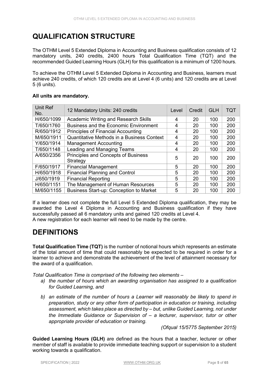## <span id="page-4-0"></span>**QUALIFICATION STRUCTURE**

The OTHM Level 5 Extended Diploma in Accounting and Business qualification consists of 12 mandatory units, 240 credits, 2400 hours Total Qualification Time (TQT) and the recommended Guided Learning Hours (GLH) for this qualification is a minimum of 1200 hours.

To achieve the OTHM Level 5 Extended Diploma in Accounting and Business, learners must achieve 240 credits, of which 120 credits are at Level 4 (6 units) and 120 credits are at Level 5 (6 units).

| Unit Ref<br>No. | 12 Mandatory Units: 240 credits                 | Level | <b>Credit</b> | <b>GLH</b> | <b>TQT</b> |
|-----------------|-------------------------------------------------|-------|---------------|------------|------------|
| H/650/1099      | Academic Writing and Research Skills            | 4     | 20            | 100        | 200        |
| T/650/1760      | <b>Business and the Economic Environment</b>    | 4     | 20            | 100        | 200        |
| R/650/1912      | <b>Principles of Financial Accounting</b>       | 4     | 20            | 100        | 200        |
| M/650/1911      | Quantitative Methods in a Business Context      | 4     | 20            | 100        | 200        |
| Y/650/1914      | <b>Management Accounting</b>                    | 4     | 20            | 100        | 200        |
| T/650/1148      | Leading and Managing Teams                      | 4     | 20            | 100        | 200        |
| A/650/2356      | Principles and Concepts of Business<br>Strategy | 5     | 20            | 100        | 200        |
| F/650/1917      | <b>Financial Management</b>                     | 5     | 20            | 100        | 200        |
| H/650/1918      | <b>Financial Planning and Control</b>           | 5     | 20            | 100        | 200        |
| J/650/1919      | <b>Financial Reporting</b>                      | 5     | 20            | 100        | 200        |
| H/650/1151      | The Management of Human Resources               | 5     | 20            | 100        | 200        |
| M/650/1155      | <b>Business Start-up: Conception to Market</b>  | 5     | 20            | 100        | 200        |

#### **All units are mandatory.**

If a learner does not complete the full Level 5 Extended Diploma qualification, they may be awarded the Level 4 Diploma in Accounting and Business qualification if they have successfully passed all 6 mandatory units and gained 120 credits at Level 4. A new registration for each learner will need to be made by the centre.

## <span id="page-4-1"></span>**DEFINITIONS**

**Total Qualification Time (TQT)** is the number of notional hours which represents an estimate of the total amount of time that could reasonably be expected to be required in order for a learner to achieve and demonstrate the achievement of the level of attainment necessary for the award of a qualification.

*Total Qualification Time is comprised of the following two elements –*

- *a) the number of hours which an awarding organisation has assigned to a qualification for Guided Learning, and*
- *b) an estimate of the number of hours a Learner will reasonably be likely to spend in preparation, study or any other form of participation in education or training, including assessment, which takes place as directed by – but, unlike Guided Learning, not under the Immediate Guidance or Supervision of – a lecturer, supervisor, tutor or other appropriate provider of education or training.*

*(Ofqual 15/5775 September 2015)*

**Guided Learning Hours (GLH)** are defined as the hours that a teacher, lecturer or other member of staff is available to provide immediate teaching support or supervision to a student working towards a qualification.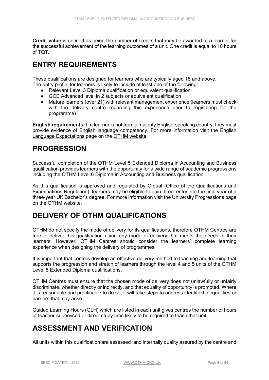**Credit value** is defined as being the number of credits that may be awarded to a learner for the successful achievement of the learning outcomes of a unit. One credit is equal to 10 hours of TQT.

## <span id="page-5-0"></span>**ENTRY REQUIREMENTS**

These qualifications are designed for learners who are typically aged 18 and above. The entry profile for learners is likely to include at least one of the following:

- Relevant Level 3 Diploma qualification or equivalent qualification
- GCE Advanced level in 2 subjects or equivalent qualification
- Mature learners (over 21) with relevant management experience (learners must check with the delivery centre regarding this experience prior to registering for the programme)

**English requirements:** If a learner is not from a majority English-speaking country, they must provide evidence of English language competency. For more information visit the English Language Expectations page on the [OTHM website.](http://www.othm.org.uk/)

## <span id="page-5-1"></span>**PROGRESSION**

Successful completion of the OTHM Level 5 Extended Diploma in Accounting and Business qualification provides learners with the opportunity for a wide range of academic progressions including the OTHM Level 6 Diploma in Accounting and Business qualification.

As this qualification is approved and regulated by Ofqual (Office of the Qualifications and Examinations Regulation), learners may be eligible to gain direct entry into the final year of a three-year UK Bachelor's degree. For more information visit the [University Progressions](http://othm.org.uk/university-progression.html) page on the OTHM website.

## <span id="page-5-2"></span>**DELIVERY OF OTHM QUALIFICATIONS**

OTHM do not specify the mode of delivery for its qualifications, therefore OTHM Centres are free to deliver this qualification using any mode of delivery that meets the needs of their learners. However, OTHM Centres should consider the learners' complete learning experience when designing the delivery of programmes.

It is important that centres develop an effective delivery method to teaching and learning that supports the progression and stretch of learners through the level 4 and 5 units of the OTHM Level 5 Extended Diploma qualifications.

OTHM Centres must ensure that the chosen mode of delivery does not unlawfully or unfairly discriminate, whether directly or indirectly, and that equality of opportunity is promoted. Where it is reasonable and practicable to do so, it will take steps to address identified inequalities or barriers that may arise.

Guided Learning Hours (GLH) which are listed in each unit gives centres the number of hours of teacher-supervised or direct study time likely to be required to teach that unit.

## <span id="page-5-3"></span>**ASSESSMENT AND VERIFICATION**

All units within this qualification are assessed and internally quality assured by the centre and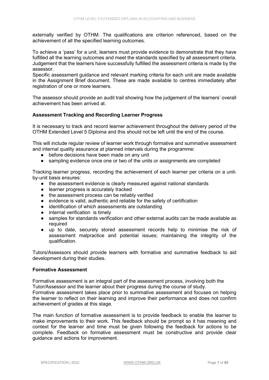externally verified by OTHM. The qualifications are criterion referenced, based on the achievement of all the specified learning outcomes.

To achieve a 'pass' for a unit, learners must provide evidence to demonstrate that they have fulfilled all the learning outcomes and meet the standards specified by all assessment criteria. Judgement that the learners have successfully fulfilled the assessment criteria is made by the assessor.

Specific assessment guidance and relevant marking criteria for each unit are made available in the Assignment Brief document. These are made available to centres immediately after registration of one or more learners.

The assessor should provide an audit trail showing how the judgement of the learners' overall achievement has been arrived at.

#### **Assessment Tracking and Recording Learner Progress**

It is necessary to track and record learner achievement throughout the delivery period of the OTHM Extended Level 5 Diploma and this should not be left until the end of the course.

This will include regular review of learner work through formative and summative assessment and internal quality assurance at planned intervals during the programme:

- before decisions have been made on any unit
- sampling evidence once one or two of the units or assignments are completed

Tracking learner progress, recording the achievement of each learner per criteria on a unitby-unit basis ensures:

- the assessment evidence is clearly measured against national standards
- learner progress is accurately tracked
- the assessment process can be reliably verified
- evidence is valid, authentic and reliable for the safety of certification
- identification of which assessments are outstanding
- internal verification is timely
- samples for standards verification and other external audits can be made available as required
- up to date, securely stored assessment records help to minimise the risk of assessment malpractice and potential issues; maintaining the integrity of the qualification.

Tutors/Assessors should provide learners with formative and summative feedback to aid development during their studies.

#### **Formative Assessment**

Formative assessment is an integral part of the assessment process, involving both the Tutor/Assessor and the learner about their progress during the course of study.

Formative assessment takes place prior to summative assessment and focuses on helping the learner to reflect on their learning and improve their performance and does not confirm achievement of grades at this stage.

The main function of formative assessment is to provide feedback to enable the learner to make improvements to their work. This feedback should be prompt so it has meaning and context for the learner and time must be given following the feedback for actions to be complete. Feedback on formative assessment must be constructive and provide clear guidance and actions for improvement.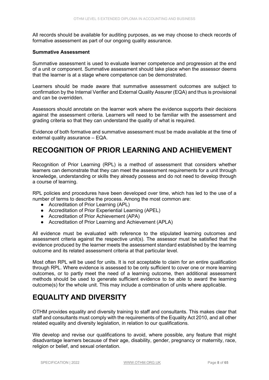All records should be available for auditing purposes, as we may choose to check records of formative assessment as part of our ongoing quality assurance.

#### **Summative Assessment**

Summative assessment is used to evaluate learner competence and progression at the end of a unit or component. Summative assessment should take place when the assessor deems that the learner is at a stage where competence can be demonstrated.

Learners should be made aware that summative assessment outcomes are subject to confirmation by the Internal Verifier and External Quality Assurer (EQA) and thus is provisional and can be overridden.

Assessors should annotate on the learner work where the evidence supports their decisions against the assessment criteria. Learners will need to be familiar with the assessment and grading criteria so that they can understand the quality of what is required.

Evidence of both formative and summative assessment must be made available at the time of external quality assurance – EQA.

## <span id="page-7-0"></span>**RECOGNITION OF PRIOR LEARNING AND ACHIEVEMENT**

Recognition of Prior Learning (RPL) is a method of assessment that considers whether learners can demonstrate that they can meet the assessment requirements for a unit through knowledge, understanding or skills they already possess and do not need to develop through a course of learning.

RPL policies and procedures have been developed over time, which has led to the use of a number of terms to describe the process. Among the most common are:

- Accreditation of Prior Learning (APL)
- Accreditation of Prior Experiential Learning (APEL)
- Accreditation of Prior Achievement (APA)
- Accreditation of Prior Learning and Achievement (APLA)

All evidence must be evaluated with reference to the stipulated learning outcomes and assessment criteria against the respective unit(s). The assessor must be satisfied that the evidence produced by the learner meets the assessment standard established by the learning outcome and its related assessment criteria at that particular level.

Most often RPL will be used for units. It is not acceptable to claim for an entire qualification through RPL. Where evidence is assessed to be only sufficient to cover one or more learning outcomes, or to partly meet the need of a learning outcome, then additional assessment methods should be used to generate sufficient evidence to be able to award the learning outcome(s) for the whole unit. This may include a combination of units where applicable.

## <span id="page-7-1"></span>**EQUALITY AND DIVERSITY**

OTHM provides equality and diversity training to staff and consultants. This makes clear that staff and consultants must comply with the requirements of the Equality Act 2010, and all other related equality and diversity legislation, in relation to our qualifications.

We develop and revise our qualifications to avoid, where possible, any feature that might disadvantage learners because of their age, disability, gender, pregnancy or maternity, race, religion or belief, and sexual orientation.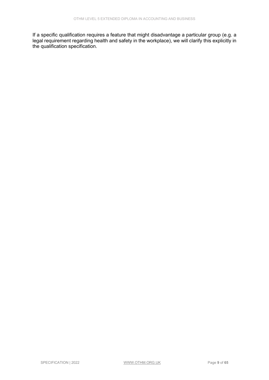If a specific qualification requires a feature that might disadvantage a particular group (e.g. a legal requirement regarding health and safety in the workplace), we will clarify this explicitly in the qualification specification.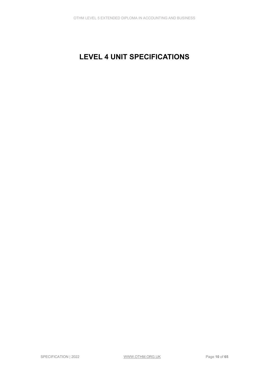# <span id="page-9-0"></span>**LEVEL 4 UNIT SPECIFICATIONS**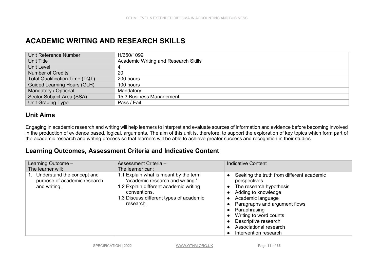## **ACADEMIC WRITING AND RESEARCH SKILLS**

| Unit Reference Number                 | H/650/1099                           |
|---------------------------------------|--------------------------------------|
| Unit Title                            | Academic Writing and Research Skills |
| <b>Unit Level</b>                     |                                      |
| Number of Credits                     | 20                                   |
| <b>Total Qualification Time (TQT)</b> | 200 hours                            |
| <b>Guided Learning Hours (GLH)</b>    | 100 hours                            |
| Mandatory / Optional                  | Mandatory                            |
| Sector Subject Area (SSA)             | 15.3 Business Management             |
| Unit Grading Type                     | Pass / Fail                          |

#### **Unit Aims**

Engaging in academic research and writing will help learners to interpret and evaluate sources of information and evidence before becoming involved in the production of evidence based, logical, arguments. The aim of this unit is, therefore, to support the exploration of key topics which form part of the academic research and writing process so that learners will be able to achieve greater success and recognition in their studies.

<span id="page-10-0"></span>

| Learning Outcome -<br>The learner will:                                    | Assessment Criteria -<br>The learner can:                                                                                                                                                   | <b>Indicative Content</b>                                                                                                                                                                                                                                                              |
|----------------------------------------------------------------------------|---------------------------------------------------------------------------------------------------------------------------------------------------------------------------------------------|----------------------------------------------------------------------------------------------------------------------------------------------------------------------------------------------------------------------------------------------------------------------------------------|
| Understand the concept and<br>purpose of academic research<br>and writing. | 1.1 Explain what is meant by the term<br>'academic research and writing.'<br>1.2 Explain different academic writing<br>conventions.<br>1.3 Discuss different types of academic<br>research. | Seeking the truth from different academic<br>perspectives<br>The research hypothesis<br>Adding to knowledge<br>Academic language<br>Paragraphs and argument flows<br>Paraphrasing<br>Writing to word counts<br>Descriptive research<br>Associational research<br>Intervention research |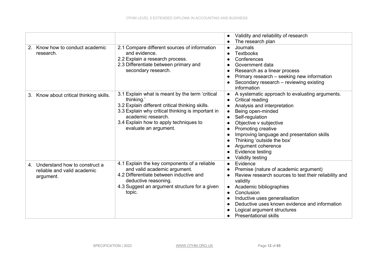|                                             |                                                   | Validity and reliability of research                               |
|---------------------------------------------|---------------------------------------------------|--------------------------------------------------------------------|
|                                             |                                                   | The research plan<br>$\bullet$                                     |
| Know how to conduct academic<br>$2_{\cdot}$ | 2.1 Compare different sources of information      | <b>Journals</b><br>$\bullet$                                       |
| research.                                   | and evidence.                                     | <b>Textbooks</b><br>$\bullet$                                      |
|                                             | 2.2 Explain a research process.                   | Conferences<br>$\bullet$                                           |
|                                             | 2.3 Differentiate between primary and             | Government data<br>$\bullet$                                       |
|                                             | secondary research.                               | Research as a linear process<br>$\bullet$                          |
|                                             |                                                   | Primary research - seeking new information<br>$\bullet$            |
|                                             |                                                   | Secondary research - reviewing existing                            |
|                                             |                                                   | information                                                        |
| 3. Know about critical thinking skills.     | 3.1 Explain what is meant by the term 'critical   | A systematic approach to evaluating arguments.<br>$\bullet$        |
|                                             | thinking.'                                        | Critical reading<br>$\bullet$                                      |
|                                             | 3.2 Explain different critical thinking skills.   | Analysis and interpretation<br>$\bullet$                           |
|                                             | 3.3 Explain why critical thinking is important in | Being open-minded<br>$\bullet$                                     |
|                                             | academic research.                                | Self-regulation<br>$\bullet$                                       |
|                                             | 3.4 Explain how to apply techniques to            | Objective v subjective<br>$\bullet$                                |
|                                             | evaluate an argument.                             | <b>Promoting creative</b><br>$\bullet$                             |
|                                             |                                                   | Improving language and presentation skills<br>$\bullet$            |
|                                             |                                                   | Thinking 'outside the box'<br>$\bullet$                            |
|                                             |                                                   | Argument coherence                                                 |
|                                             |                                                   | Evidence testing<br>$\bullet$                                      |
|                                             |                                                   | Validity testing<br>$\bullet$                                      |
| 4. Understand how to construct a            | 4.1 Explain the key components of a reliable      | Evidence<br>$\bullet$                                              |
| reliable and valid academic                 | and valid academic argument.                      | Premise (nature of academic argument)<br>$\bullet$                 |
| argument.                                   | 4.2 Differentiate between inductive and           | Review research sources to test their reliability and<br>$\bullet$ |
|                                             | deductive reasoning.                              | validity                                                           |
|                                             | 4.3 Suggest an argument structure for a given     | Academic bibliographies<br>$\bullet$                               |
|                                             | topic.                                            | Conclusion<br>$\bullet$                                            |
|                                             |                                                   | Inductive uses generalisation<br>$\bullet$                         |
|                                             |                                                   | Deductive uses known evidence and information                      |
|                                             |                                                   | Logical argument structures                                        |
|                                             |                                                   | <b>Presentational skills</b><br>$\bullet$                          |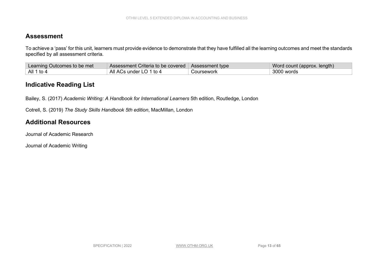To achieve a 'pass' for this unit, learners must provide evidence to demonstrate that they have fulfilled all the learning outcomes and meet the standards specified by all assessment criteria.

| Learning Outcomes to be met | Assessment Criteria to be covered   Assessment type |            | Word count (approx. length) |
|-----------------------------|-----------------------------------------------------|------------|-----------------------------|
| All 1 to 4                  | All ACs under LO 1 to 4                             | Coursework | 3000 words                  |

#### **Indicative Reading List**

Bailey, S. (2017) *Academic Writing: A Handbook for International Learners* 5th edition, Routledge, London

Cotrell, S. (2019) *The Study Skills Handbook 5th edition*, MacMillan, London

### **Additional Resources**

Journal of Academic Research

Journal of Academic Writing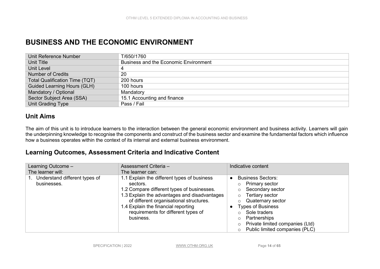## **BUSINESS AND THE ECONOMIC ENVIRONMENT**

| Unit Reference Number                 | T/650/1760                                   |
|---------------------------------------|----------------------------------------------|
| Unit Title                            | <b>Business and the Economic Environment</b> |
| Unit Level                            |                                              |
| Number of Credits                     | 20                                           |
| <b>Total Qualification Time (TQT)</b> | 200 hours                                    |
| <b>Guided Learning Hours (GLH)</b>    | 100 hours                                    |
| Mandatory / Optional                  | Mandatory                                    |
| Sector Subject Area (SSA)             | 15.1 Accounting and finance                  |
| Unit Grading Type                     | Pass / Fail                                  |

#### **Unit Aims**

<span id="page-13-0"></span>The aim of this unit is to introduce learners to the interaction between the general economic environment and business activity. Learners will gain the underpinning knowledge to recognise the components and construct of the business sector and examine the fundamental factors which influence how a business operates within the context of its internal and external business environment.

| Learning Outcome -                           | Assessment Criteria -                                                                                                                                                                                                                                                                       | Indicative content                                                                                                                                                                                                                                                                                                                         |
|----------------------------------------------|---------------------------------------------------------------------------------------------------------------------------------------------------------------------------------------------------------------------------------------------------------------------------------------------|--------------------------------------------------------------------------------------------------------------------------------------------------------------------------------------------------------------------------------------------------------------------------------------------------------------------------------------------|
| The learner will:                            | The learner can:                                                                                                                                                                                                                                                                            |                                                                                                                                                                                                                                                                                                                                            |
| Understand different types of<br>businesses. | 1.1 Explain the different types of business<br>sectors.<br>1.2 Compare different types of businesses.<br>1.3 Explain the advantages and disadvantages<br>of different organisational structures.<br>1.4 Explain the financial reporting<br>requirements for different types of<br>business. | <b>Business Sectors:</b><br>$\bullet$<br><b>Primary sector</b><br>$\circ$<br>Secondary sector<br>$\circ$<br>Tertiary sector<br>$\circ$<br>Quaternary sector<br>$\circ$<br><b>Types of Business</b><br>Sole traders<br>$\Omega$<br>Partnerships<br>$\circ$<br>Private limited companies (Ltd)<br>$\Omega$<br>Public limited companies (PLC) |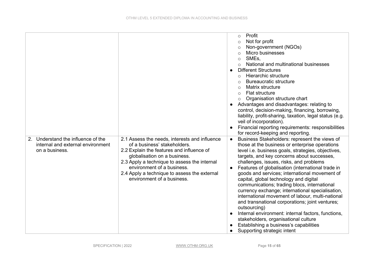|                                                     |                                                                                                                                                                                                                                                                       | $\bullet$ | Profit<br>$\circ$<br>Not for profit<br>$\Omega$<br>Non-government (NGOs)<br>$\circ$<br>Micro businesses<br>$\Omega$<br>SMEs,<br>$\circ$<br>National and multinational businesses<br>$\Omega$<br><b>Different Structures</b><br>Hierarchic structure<br>$\circ$<br><b>Bureaucratic structure</b><br>Matrix structure<br>$\circ$<br><b>Flat structure</b><br>$\circ$<br>Organisation structure chart<br>$\Omega$<br>Advantages and disadvantages: relating to<br>control, decision-making, financing, borrowing,                                                                                                                                                                                                                                  |
|-----------------------------------------------------|-----------------------------------------------------------------------------------------------------------------------------------------------------------------------------------------------------------------------------------------------------------------------|-----------|-------------------------------------------------------------------------------------------------------------------------------------------------------------------------------------------------------------------------------------------------------------------------------------------------------------------------------------------------------------------------------------------------------------------------------------------------------------------------------------------------------------------------------------------------------------------------------------------------------------------------------------------------------------------------------------------------------------------------------------------------|
| Understand the influence of the<br>$2^{2}$          | 2.1 Assess the needs, interests and influence                                                                                                                                                                                                                         | $\bullet$ | liability, profit-sharing, taxation, legal status (e.g.<br>veil of incorporation).<br>Financial reporting requirements: responsibilities<br>for record-keeping and reporting.<br>Business Stakeholders: represent the views of                                                                                                                                                                                                                                                                                                                                                                                                                                                                                                                  |
| internal and external environment<br>on a business. | of a business' stakeholders.<br>2.2 Explain the features and influence of<br>globalisation on a business.<br>2.3 Apply a technique to assess the internal<br>environment of a business.<br>2.4 Apply a technique to assess the external<br>environment of a business. |           | those at the business or enterprise operations<br>level i.e. business goals, strategies, objectives,<br>targets, and key concerns about successes,<br>challenges, issues, risks, and problems<br>Features of globalisation (international trade in<br>goods and services; international movement of<br>capital, global technology and digital<br>communications; trading blocs, international<br>currency exchange; international specialisation,<br>international movement of labour, multi-national<br>and transnational corporations; joint ventures;<br>outsourcing)<br>Internal environment: internal factors, functions,<br>stakeholders, organisational culture<br>Establishing a business's capabilities<br>Supporting strategic intent |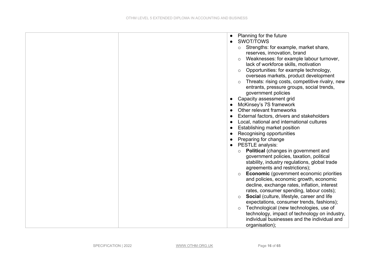| Planning for the future<br>SWOT/TOWS<br>Strengths: for example, market share,<br>$\circ$<br>reserves, innovation, brand<br>Weaknesses: for example labour turnover,<br>$\circ$                                     |
|--------------------------------------------------------------------------------------------------------------------------------------------------------------------------------------------------------------------|
| lack of workforce skills, motivation<br>Opportunities: for example technology,<br>$\circ$<br>overseas markets, product development<br>Threats: rising costs, competitive rivalry, new<br>$\circ$                   |
| entrants, pressure groups, social trends,<br>government policies<br>Capacity assessment grid<br>McKinsey's 7S framework                                                                                            |
| Other relevant frameworks<br>External factors, drivers and stakeholders<br>Local, national and international cultures<br>Establishing market position                                                              |
| Recognising opportunities<br>Preparing for change<br>PESTLE analysis:<br>Political (changes in government and<br>$\circ$                                                                                           |
| government policies, taxation, political<br>stability, industry regulations, global trade<br>agreements and restrictions);<br><b>Economic</b> (government economic priorities<br>$\circ$                           |
| and policies, economic growth, economic<br>decline, exchange rates, inflation, interest<br>rates, consumer spending, labour costs);<br>Social (culture, lifestyle, career and life<br>$\circ$                      |
| expectations, consumer trends, fashions);<br>Technological (new technologies, use of<br>$\circ$<br>technology, impact of technology on industry,<br>individual businesses and the individual and<br>organisation); |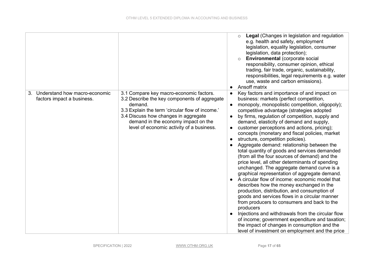|                                                                   |                                                                                                                                                                                                                                                                                   | Legal (Changes in legislation and regulation<br>e.g. health and safety, employment<br>legislation, equality legislation, consumer<br>legislation, data protection);<br>Environmental (corporate social<br>$\circ$<br>responsibility, consumer opinion, ethical<br>trading, fair trade, organic, sustainability,<br>responsibilities, legal requirements e.g. water<br>use, waste and carbon emissions).<br>Ansoff matrix<br>$\bullet$                                                                                                                                                                                                                                                                                                                                                                                                                                                                                                                                                                                                                                                                                                                                                                                                                   |
|-------------------------------------------------------------------|-----------------------------------------------------------------------------------------------------------------------------------------------------------------------------------------------------------------------------------------------------------------------------------|---------------------------------------------------------------------------------------------------------------------------------------------------------------------------------------------------------------------------------------------------------------------------------------------------------------------------------------------------------------------------------------------------------------------------------------------------------------------------------------------------------------------------------------------------------------------------------------------------------------------------------------------------------------------------------------------------------------------------------------------------------------------------------------------------------------------------------------------------------------------------------------------------------------------------------------------------------------------------------------------------------------------------------------------------------------------------------------------------------------------------------------------------------------------------------------------------------------------------------------------------------|
| Understand how macro-economic<br>3.<br>factors impact a business. | 3.1 Compare key macro-economic factors.<br>3.2 Describe the key components of aggregate<br>demand.<br>3.3 Explain the term 'circular flow of income.'<br>3.4 Discuss how changes in aggregate<br>demand in the economy impact on the<br>level of economic activity of a business. | Key factors and importance of and impact on<br>$\bullet$<br>business: markets (perfect competition,<br>monopoly, monopolistic competition, oligopoly);<br>competitive advantage (strategies adopted<br>by firms, regulation of competition, supply and<br>demand, elasticity of demand and supply,<br>customer perceptions and actions, pricing);<br>$\bullet$<br>concepts (monetary and fiscal policies, market<br>structure, competition policies).<br>$\bullet$<br>Aggregate demand: relationship between the<br>total quantity of goods and services demanded<br>(from all the four sources of demand) and the<br>price level, all other determinants of spending<br>unchanged. The aggregate demand curve is a<br>graphical representation of aggregate demand.<br>A circular flow of income: economic model that<br>$\bullet$<br>describes how the money exchanged in the<br>production, distribution, and consumption of<br>goods and services flows in a circular manner<br>from producers to consumers and back to the<br>producers<br>Injections and withdrawals from the circular flow<br>of income; government expenditure and taxation;<br>the impact of changes in consumption and the<br>level of investment on employment and the price |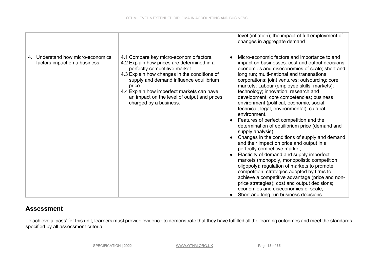|                                                                       |                                                                                                                                                                                                                                                                                                                                                    | level (inflation); the impact of full employment of<br>changes in aggregate demand                                                                                                                                                                                                                                                                                                                                                                                                                                                                                                                                                                                                                                                                                                                                                                                                                                                                                                                                                                                                                                                  |
|-----------------------------------------------------------------------|----------------------------------------------------------------------------------------------------------------------------------------------------------------------------------------------------------------------------------------------------------------------------------------------------------------------------------------------------|-------------------------------------------------------------------------------------------------------------------------------------------------------------------------------------------------------------------------------------------------------------------------------------------------------------------------------------------------------------------------------------------------------------------------------------------------------------------------------------------------------------------------------------------------------------------------------------------------------------------------------------------------------------------------------------------------------------------------------------------------------------------------------------------------------------------------------------------------------------------------------------------------------------------------------------------------------------------------------------------------------------------------------------------------------------------------------------------------------------------------------------|
| Understand how micro-economics<br>4.<br>factors impact on a business. | 4.1 Compare key micro-economic factors.<br>4.2 Explain how prices are determined in a<br>perfectly competitive market.<br>4.3 Explain how changes in the conditions of<br>supply and demand influence equilibrium<br>price.<br>4.4 Explain how imperfect markets can have<br>an impact on the level of output and prices<br>charged by a business. | Micro-economic factors and importance to and<br>impact on businesses: cost and output decisions;<br>economies and diseconomies of scale; short and<br>long run; multi-national and transnational<br>corporations; joint ventures; outsourcing; core<br>markets; Labour (employee skills, markets);<br>technology; innovation; research and<br>development; core competencies; business<br>environment (political, economic, social,<br>technical, legal, environmental); cultural<br>environment.<br>Features of perfect competition and the<br>determination of equilibrium price (demand and<br>supply analysis)<br>Changes in the conditions of supply and demand<br>and their impact on price and output in a<br>perfectly competitive market;<br>Elasticity of demand and supply imperfect<br>markets (monopoly, monopolistic competition,<br>oligopoly); regulation of markets to promote<br>competition; strategies adopted by firms to<br>achieve a competitive advantage (price and non-<br>price strategies); cost and output decisions;<br>economies and diseconomies of scale;<br>Short and long run business decisions |

To achieve a 'pass' for this unit, learners must provide evidence to demonstrate that they have fulfilled all the learning outcomes and meet the standards specified by all assessment criteria.

SPECIFICATION | 2022 [WWW.OTHM.ORG.UK](http://www.othm.org.uk/) Page **18** of **65**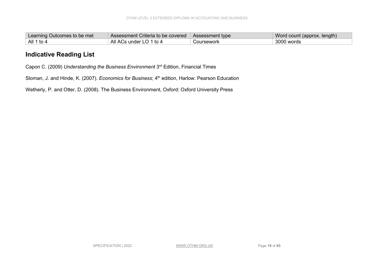| Learning Outcomes to be met | Assessment Criteria to be covered   Assessment type |            | Word count (approx. length) |
|-----------------------------|-----------------------------------------------------|------------|-----------------------------|
| All 1 to 4                  | All ACs under LO 1 to 4                             | Coursework | 3000 words                  |

#### **Indicative Reading List**

Capon C. (2009) *Understanding the Business Environment* 3rd Edition, Financial Times

Sloman, J. and Hinde, K. (2007). *Economics for Business*; 4<sup>th</sup> edition, Harlow: Pearson Education

Wetherly, P. and Otter, D. (2008). The Business Environment, Oxford: Oxford University Press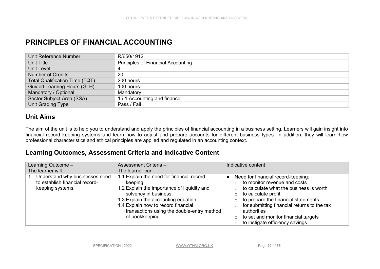## **PRINCIPLES OF FINANCIAL ACCOUNTING**

| Unit Reference Number                 | R/650/1912                                |
|---------------------------------------|-------------------------------------------|
| Unit Title                            | <b>Principles of Financial Accounting</b> |
| <b>Unit Level</b>                     | 4                                         |
| <b>Number of Credits</b>              | 20                                        |
| <b>Total Qualification Time (TQT)</b> | 200 hours                                 |
| <b>Guided Learning Hours (GLH)</b>    | 100 hours                                 |
| Mandatory / Optional                  | Mandatory                                 |
| Sector Subject Area (SSA)             | 15.1 Accounting and finance               |
| <b>Unit Grading Type</b>              | Pass / Fail                               |

#### **Unit Aims**

<span id="page-19-0"></span>The aim of the unit is to help you to understand and apply the principles of financial accounting in a business setting. Learners will gain insight into financial record keeping systems and learn how to adjust and prepare accounts for different business types. In addition, they will learn how professional characteristics and ethical principles are applied and regulated in an accounting context.

| Learning Outcome -                                                                   | Assessment Criteria -                                                                                                                                                                                                                                                          | Indicative content                                                                                                                                                                                                                                                                                                                                                              |
|--------------------------------------------------------------------------------------|--------------------------------------------------------------------------------------------------------------------------------------------------------------------------------------------------------------------------------------------------------------------------------|---------------------------------------------------------------------------------------------------------------------------------------------------------------------------------------------------------------------------------------------------------------------------------------------------------------------------------------------------------------------------------|
| The learner will:                                                                    | The learner can:                                                                                                                                                                                                                                                               |                                                                                                                                                                                                                                                                                                                                                                                 |
| Understand why businesses need<br>to establish financial record-<br>keeping systems. | 1.1 Explain the need for financial record-<br>keeping.<br>1.2 Explain the importance of liquidity and<br>solvency in business.<br>1.3 Explain the accounting equation.<br>1.4 Explain how to record financial<br>transactions using the double-entry method<br>of bookkeeping. | Need for financial record-keeping:<br>$\circ$ to monitor revenue and costs<br>$\circ$ to calculate what the business is worth<br>$\circ$ to calculate profit<br>$\circ$ to prepare the financial statements<br>$\circ$ for submitting financial returns to the tax<br>authorities<br>$\circ$ to set and monitor financial targets<br>to instigate efficiency savings<br>$\circ$ |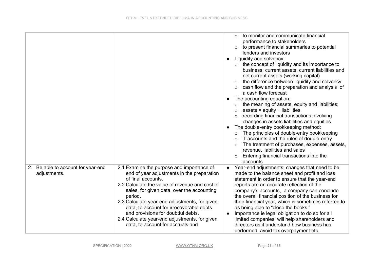|                                                       |                                                                                                                                                                                                                                                                                                                                                                                                                                                   | to monitor and communicate financial<br>$\Omega$<br>performance to stakeholders<br>to present financial summaries to potential<br>$\circ$<br>lenders and investors<br>Liquidity and solvency:<br>$\bullet$<br>the concept of liquidity and its importance to<br>$\circ$<br>business; current assets, current liabilities and<br>net current assets (working capital)<br>the difference between liquidity and solvency<br>$\circ$<br>cash flow and the preparation and analysis of<br>a cash flow forecast<br>The accounting equation:<br>the meaning of assets, equity and liabilities;<br>$\circ$<br>$assets = equity + liabilities$<br>$\circ$<br>recording financial transactions involving<br>$\circ$<br>changes in assets liabilities and equities<br>The double-entry bookkeeping method:<br>The principles of double-entry bookkeeping<br>$\circ$<br>T-accounts and the rules of double-entry<br>$\circ$<br>The treatment of purchases, expenses, assets,<br>$\Omega$<br>revenue, liabilities and sales<br>Entering financial transactions into the<br>accounts |
|-------------------------------------------------------|---------------------------------------------------------------------------------------------------------------------------------------------------------------------------------------------------------------------------------------------------------------------------------------------------------------------------------------------------------------------------------------------------------------------------------------------------|------------------------------------------------------------------------------------------------------------------------------------------------------------------------------------------------------------------------------------------------------------------------------------------------------------------------------------------------------------------------------------------------------------------------------------------------------------------------------------------------------------------------------------------------------------------------------------------------------------------------------------------------------------------------------------------------------------------------------------------------------------------------------------------------------------------------------------------------------------------------------------------------------------------------------------------------------------------------------------------------------------------------------------------------------------------------|
| Be able to account for year-end<br>2.<br>adjustments. | 2.1 Examine the purpose and importance of<br>end of year adjustments in the preparation<br>of final accounts.<br>2.2 Calculate the value of revenue and cost of<br>sales, for given data, over the accounting<br>period.<br>2.3 Calculate year-end adjustments, for given<br>data, to account for irrecoverable debts<br>and provisions for doubtful debts.<br>2.4 Calculate year-end adjustments, for given<br>data, to account for accruals and | Year-end adjustments: changes that need to be<br>made to the balance sheet and profit and loss<br>statement in order to ensure that the year-end<br>reports are an accurate reflection of the<br>company's accounts, a company can conclude<br>the overall financial position of the business for<br>their financial year, which is sometimes referred to<br>as being able to "close the books."<br>Importance ie legal obligation to do so for all<br>limited companies, will help shareholders and<br>directors as it understand how business has<br>performed, avoid tax overpayment etc.                                                                                                                                                                                                                                                                                                                                                                                                                                                                           |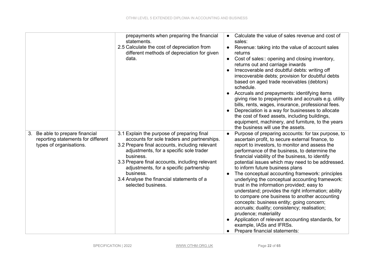|                                                                                                  | prepayments when preparing the financial<br>statements.<br>2.5 Calculate the cost of depreciation from<br>different methods of depreciation for given<br>data.                                                                                                                                                                                                                   | Calculate the value of sales revenue and cost of<br>$\bullet$<br>sales:<br>Revenue: taking into the value of account sales<br>$\bullet$<br>returns<br>Cost of sales:: opening and closing inventory,<br>returns out and carriage inwards<br>Irrecoverable and doubtful debts: writing off<br>irrecoverable debts; provision for doubtful debts<br>based on aged trade receivables (debtors)<br>schedule.<br>Accruals and prepayments: identifying items<br>giving rise to prepayments and accruals e.g. utility<br>bills, rents, wages, insurance, professional fees.<br>Depreciation is a way for businesses to allocate<br>the cost of fixed assets, including buildings,<br>equipment, machinery, and furniture, to the years<br>the business will use the assets.                                                                                                              |
|--------------------------------------------------------------------------------------------------|----------------------------------------------------------------------------------------------------------------------------------------------------------------------------------------------------------------------------------------------------------------------------------------------------------------------------------------------------------------------------------|------------------------------------------------------------------------------------------------------------------------------------------------------------------------------------------------------------------------------------------------------------------------------------------------------------------------------------------------------------------------------------------------------------------------------------------------------------------------------------------------------------------------------------------------------------------------------------------------------------------------------------------------------------------------------------------------------------------------------------------------------------------------------------------------------------------------------------------------------------------------------------|
| 3. Be able to prepare financial<br>reporting statements for different<br>types of organisations. | 3.1 Explain the purpose of preparing final<br>accounts for sole traders and partnerships.<br>3.2 Prepare final accounts, including relevant<br>adjustments, for a specific sole trader<br>business.<br>3.3 Prepare final accounts, including relevant<br>adjustments, for a specific partnership<br>business.<br>3.4 Analyse the financial statements of a<br>selected business. | Purpose of preparing accounts: for tax purpose, to<br>$\bullet$<br>ascertain profit, to secure external finance, to<br>report to investors, to monitor and assess the<br>performance of the business, to determine the<br>financial viability of the business, to identify<br>potential issues which may need to be addressed.<br>to inform future business plans<br>The conceptual accounting framework: principles<br>underlying the conceptual accounting framework:<br>trust in the information provided; easy to<br>understand; provides the right information; ability<br>to compare one business to another accounting<br>concepts: business entity; going concern;<br>accruals; duality; consistency; realisation;<br>prudence; materiality<br>Application of relevant accounting standards, for<br>$\bullet$<br>example, IASs and IFRSs.<br>Prepare financial statements: |

SPECIFICATION | 2022 MWW.OTHM.ORG.UK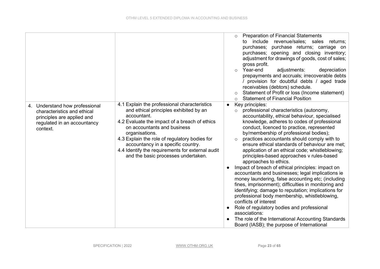|                                                                                                                                        |                                                                                                                                                                                                                                                                                                                                                                                           | $\circ$<br>$\circ$<br>$\circ$<br>$\circ$ | <b>Preparation of Financial Statements</b><br>to include revenue/sales; sales returns;<br>purchases; purchase returns; carriage on<br>purchases; opening and closing inventory;<br>adjustment for drawings of goods, cost of sales;<br>gross profit.<br>Year-end<br>adjustments:<br>depreciation<br>prepayments and accruals; irrecoverable debts<br>provision for doubtful debts / aged trade<br>receivables (debtors) schedule.<br>Statement of Profit or loss (Income statement)<br><b>Statement of Financial Position</b>                                                                                                                                                                                                                                                                                                                                                                                                                                                                             |
|----------------------------------------------------------------------------------------------------------------------------------------|-------------------------------------------------------------------------------------------------------------------------------------------------------------------------------------------------------------------------------------------------------------------------------------------------------------------------------------------------------------------------------------------|------------------------------------------|-----------------------------------------------------------------------------------------------------------------------------------------------------------------------------------------------------------------------------------------------------------------------------------------------------------------------------------------------------------------------------------------------------------------------------------------------------------------------------------------------------------------------------------------------------------------------------------------------------------------------------------------------------------------------------------------------------------------------------------------------------------------------------------------------------------------------------------------------------------------------------------------------------------------------------------------------------------------------------------------------------------|
| 4. Understand how professional<br>characteristics and ethical<br>principles are applied and<br>regulated in an accountancy<br>context. | 4.1 Explain the professional characteristics<br>and ethical principles exhibited by an<br>accountant.<br>4.2 Evaluate the impact of a breach of ethics<br>on accountants and business<br>organisations.<br>4.3 Explain the role of regulatory bodies for<br>accountancy in a specific country.<br>4.4 Identify the requirements for external audit<br>and the basic processes undertaken. | $\bullet$<br>$\circ$<br>$\circ$          | Key principles:<br>professional characteristics (autonomy,<br>accountability, ethical behaviour, specialised<br>knowledge, adheres to codes of professional<br>conduct, licenced to practice, represented<br>by/membership of professional bodies);<br>practices accountants should comply with to<br>ensure ethical standards of behaviour are met;<br>application of an ethical code; whistleblowing;<br>principles-based approaches v rules-based<br>approaches to ethics.<br>Impact of breach of ethical principles: impact on<br>accountants and businesses; legal implications ie<br>money laundering, false accounting etc; (including<br>fines, imprisonment); difficulties in monitoring and<br>identifying; damage to reputation; implications for<br>professional body membership, whistleblowing,<br>conflicts of interest<br>Role of regulatory bodies and professional<br>associations:<br>The role of the International Accounting Standards<br>Board (IASB); the purpose of International |

SPECIFICATION | 2022 WWW.OTHM.ORG.UK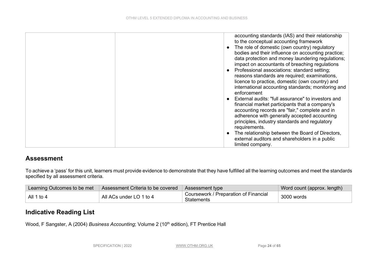| accounting standards (IAS) and their relationship<br>to the conceptual accounting framework<br>The role of domestic (own country) regulatory<br>bodies and their influence on accounting practice;<br>data protection and money laundering regulations;<br>impact on accountants of breaching regulations<br>Professional associations: standard setting;<br>reasons standards are required; examinations,<br>licence to practice, domestic (own country) and<br>international accounting standards; monitoring and<br>enforcement<br>External audits: "full assurance" to investors and<br>financial market participants that a company's<br>accounting records are "fair," complete and in<br>adherence with generally accepted accounting<br>principles, industry standards and regulatory<br>requirements.<br>The relationship between the Board of Directors, |
|--------------------------------------------------------------------------------------------------------------------------------------------------------------------------------------------------------------------------------------------------------------------------------------------------------------------------------------------------------------------------------------------------------------------------------------------------------------------------------------------------------------------------------------------------------------------------------------------------------------------------------------------------------------------------------------------------------------------------------------------------------------------------------------------------------------------------------------------------------------------|
| external auditors and shareholders in a public<br>limited company.                                                                                                                                                                                                                                                                                                                                                                                                                                                                                                                                                                                                                                                                                                                                                                                                 |

To achieve a 'pass' for this unit, learners must provide evidence to demonstrate that they have fulfilled all the learning outcomes and meet the standards specified by all assessment criteria.

| Learning Outcomes to be met | Assessment Criteria to be covered $\Box$ | Assessment type                                     | Word count (approx. length) |
|-----------------------------|------------------------------------------|-----------------------------------------------------|-----------------------------|
| All 1 to 4                  | All ACs under LO 1 to 4                  | Coursework / Preparation of Financial<br>Statements | 3000 words                  |

### **Indicative Reading List**

Wood, F Sangster, A (2004) *Business Accounting*; Volume 2 (10<sup>th</sup> edition), FT Prentice Hall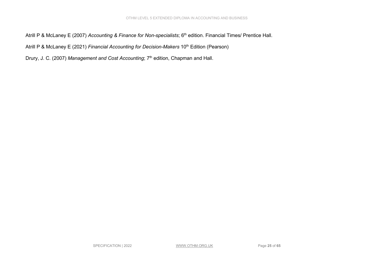Atrill P & McLaney E (2007) *Accounting & Finance for Non-specialists*; 6<sup>th</sup> edition. Financial Times/ Prentice Hall.

Atrill P & McLaney E (2021) *Financial Accounting for Decision-Makers* 10<sup>th</sup> Edition (Pearson)

Drury, J. C. (2007) Management and Cost Accounting; 7<sup>th</sup> edition, Chapman and Hall.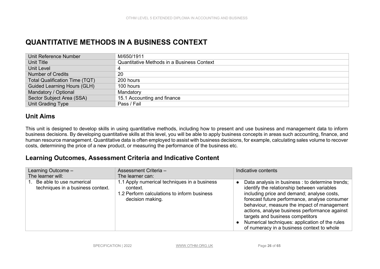## **QUANTITATIVE METHODS IN A BUSINESS CONTEXT**

| Unit Reference Number                 | M/650/1911                                 |
|---------------------------------------|--------------------------------------------|
| Unit Title                            | Quantitative Methods in a Business Context |
| Unit Level                            |                                            |
| <b>Number of Credits</b>              | 20                                         |
| <b>Total Qualification Time (TQT)</b> | 200 hours                                  |
| <b>Guided Learning Hours (GLH)</b>    | 100 hours                                  |
| Mandatory / Optional                  | Mandatory                                  |
| Sector Subject Area (SSA)             | 15.1 Accounting and finance                |
| Unit Grading Type                     | Pass / Fail                                |

#### **Unit Aims**

<span id="page-25-0"></span>This unit is designed to develop skills in using quantitative methods, including how to present and use business and management data to inform business decisions. By developing quantitative skills at this level, you will be able to apply business concepts in areas such accounting, finance, and human resource management. Quantitative data is often employed to assist with business decisions, for example, calculating sales volume to recover costs, determining the price of a new product, or measuring the performance of the business etc.

| Learning Outcome -<br>The learner will:                       | Assessment Criteria -<br>The learner can:                                                                                   | Indicative contents                                                                                                                                                                                                                                                                                                                                                                                                                |
|---------------------------------------------------------------|-----------------------------------------------------------------------------------------------------------------------------|------------------------------------------------------------------------------------------------------------------------------------------------------------------------------------------------------------------------------------------------------------------------------------------------------------------------------------------------------------------------------------------------------------------------------------|
| Be able to use numerical<br>techniques in a business context. | 1.1 Apply numerical techniques in a business<br>context.<br>1.2 Perform calculations to inform business<br>decision making. | Data analysis in business : to determine trends;<br>identify the relationship between variables<br>including price and demand; analyse costs,<br>forecast future performance, analyse consumer<br>behaviour, measure the impact of management<br>actions, analyse business performance against<br>targets and business competitors<br>Numerical techniques: application of the rules<br>of numeracy in a business context to whole |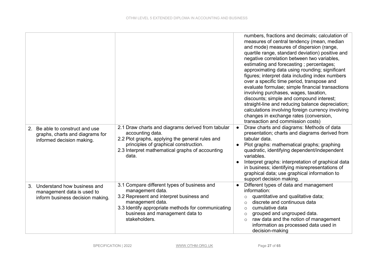|    |                                                                                                 |                                                                                                                                                                                                                                           | numbers, fractions and decimals; calculation of<br>measures of central tendency (mean, median<br>and mode) measures of dispersion (range,<br>quartile range, standard deviation) positive and<br>negative correlation between two variables,<br>estimating and forecasting; percentages;<br>approximating data using rounding; significant<br>figures; interpret data including index numbers<br>over a specific time period, transpose and<br>evaluate formulae; simple financial transactions<br>involving purchases, wages, taxation,<br>discounts; simple and compound interest;<br>straight-line and reducing balance depreciation;<br>calculations involving foreign currency involving<br>changes in exchange rates (conversion,<br>transaction and commission costs) |
|----|-------------------------------------------------------------------------------------------------|-------------------------------------------------------------------------------------------------------------------------------------------------------------------------------------------------------------------------------------------|------------------------------------------------------------------------------------------------------------------------------------------------------------------------------------------------------------------------------------------------------------------------------------------------------------------------------------------------------------------------------------------------------------------------------------------------------------------------------------------------------------------------------------------------------------------------------------------------------------------------------------------------------------------------------------------------------------------------------------------------------------------------------|
|    | 2. Be able to construct and use<br>graphs, charts and diagrams for<br>informed decision making. | 2.1 Draw charts and diagrams derived from tabular<br>accounting data.<br>2.2 Plot graphs, applying the general rules and<br>principles of graphical construction.<br>2.3 Interpret mathematical graphs of accounting<br>data.             | Draw charts and diagrams: Methods of data<br>presentation; charts and diagrams derived from<br>tabular data.<br>Plot graphs: mathematical graphs; graphing<br>quadratic, identifying dependent/independent<br>variables.<br>Interpret graphs: interpretation of graphical data<br>in business; identifying misrepresentations of<br>graphical data; use graphical information to<br>support decision making.                                                                                                                                                                                                                                                                                                                                                                 |
| 3. | Understand how business and<br>management data is used to<br>inform business decision making.   | 3.1 Compare different types of business and<br>management data.<br>3.2 Represent and interpret business and<br>management data.<br>3.3 Identify appropriate methods for communicating<br>business and management data to<br>stakeholders. | Different types of data and management<br>information:<br>quantitative and qualitative data;<br>$\circ$<br>discrete and continuous data<br>$\circ$<br>cumulative data<br>$\Omega$<br>grouped and ungrouped data.<br>$\circ$<br>raw data and the notion of management<br>$\Omega$<br>information as processed data used in<br>decision-making                                                                                                                                                                                                                                                                                                                                                                                                                                 |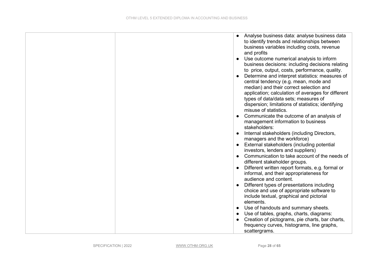|  | Analyse business data: analyse business data<br>to identify trends and relationships between<br>business variables including costs, revenue |
|--|---------------------------------------------------------------------------------------------------------------------------------------------|
|  | and profits                                                                                                                                 |
|  | Use outcome numerical analysis to inform<br>$\bullet$                                                                                       |
|  | business decisions: including decisions relating                                                                                            |
|  | to price, output, costs, performance, quality.                                                                                              |
|  | Determine and interpret statistics: measures of<br>$\bullet$                                                                                |
|  | central tendency (e.g. mean, mode and                                                                                                       |
|  | median) and their correct selection and                                                                                                     |
|  | application; calculation of averages for different                                                                                          |
|  | types of data/data sets; measures of                                                                                                        |
|  | dispersion; limitations of statistics; identifying                                                                                          |
|  | misuse of statistics.                                                                                                                       |
|  | Communicate the outcome of an analysis of<br>$\bullet$                                                                                      |
|  | management information to business                                                                                                          |
|  | stakeholders:                                                                                                                               |
|  | Internal stakeholders (including Directors,<br>$\bullet$                                                                                    |
|  | managers and the workforce)                                                                                                                 |
|  | External stakeholders (including potential                                                                                                  |
|  | investors, lenders and suppliers)                                                                                                           |
|  | Communication to take account of the needs of                                                                                               |
|  | different stakeholder groups.                                                                                                               |
|  | Different written report formats, e.g. formal or                                                                                            |
|  | informal, and their appropriateness for                                                                                                     |
|  | audience and content.                                                                                                                       |
|  | Different types of presentations including                                                                                                  |
|  | choice and use of appropriate software to                                                                                                   |
|  | include textual, graphical and pictorial<br>elements.                                                                                       |
|  | Use of handouts and summary sheets.<br>$\bullet$                                                                                            |
|  | Use of tables, graphs, charts, diagrams:<br>$\bullet$                                                                                       |
|  | Creation of pictograms, pie charts, bar charts,<br>$\bullet$                                                                                |
|  | frequency curves, histograms, line graphs,                                                                                                  |
|  | scattergrams.                                                                                                                               |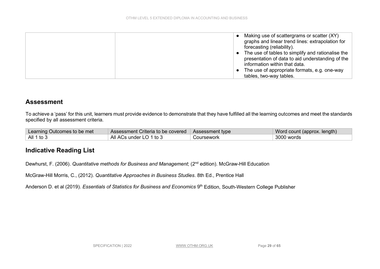|  | Making use of scattergrams or scatter (XY)<br>graphs and linear trend lines: extrapolation for<br>forecasting (reliability).<br>The use of tables to simplify and rationalise the<br>presentation of data to aid understanding of the<br>information within that data. |
|--|------------------------------------------------------------------------------------------------------------------------------------------------------------------------------------------------------------------------------------------------------------------------|
|  | The use of appropriate formats, e.g. one-way                                                                                                                                                                                                                           |
|  | tables, two-way tables.                                                                                                                                                                                                                                                |

To achieve a 'pass' for this unit, learners must provide evidence to demonstrate that they have fulfilled all the learning outcomes and meet the standards specified by all assessment criteria.

| Learning Outcomes to be met | Assessment Criteria to be covered   Assessment type |            | Word count (approx. length) |
|-----------------------------|-----------------------------------------------------|------------|-----------------------------|
| All 1 to 3                  | All ACs under LO 1 to 3                             | Coursework | 3000 words                  |

### **Indicative Reading List**

Dewhurst, F. (2006). *Quantitative methods for Business and Management*; (2nd edition). McGraw-Hill Education

McGraw-Hill Morris, C., (2012). *Quantitative Approaches in Business Studies*. 8th Ed., Prentice Hall

Anderson D. et al (2019). *Essentials of Statistics for Business and Economics* 9<sup>th</sup> Edition, South-Western College Publisher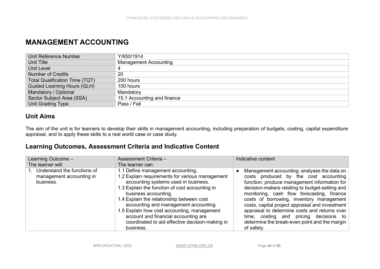## **MANAGEMENT ACCOUNTING**

| Unit Reference Number                 | Y/650/1914                   |
|---------------------------------------|------------------------------|
| Unit Title                            | <b>Management Accounting</b> |
| <b>Unit Level</b>                     |                              |
| <b>Number of Credits</b>              | 20                           |
| <b>Total Qualification Time (TQT)</b> | 200 hours                    |
| <b>Guided Learning Hours (GLH)</b>    | 100 hours                    |
| Mandatory / Optional                  | Mandatory                    |
| Sector Subject Area (SSA)             | 15.1 Accounting and finance  |
| Unit Grading Type                     | Pass / Fail                  |

#### **Unit Aims**

The aim of the unit is for learners to develop their skills in management accounting, including preparation of budgets, costing, capital expenditure appraisal, and to apply these skills to a real world case or case study.

<span id="page-29-0"></span>

| Learning Outcome -                                                      | Assessment Criteria -                                                                                                                                                                                                                                                                                                                                                                                                                               | Indicative content                                                                                                                                                                                                                                                                                                                                                                                                                                                                            |
|-------------------------------------------------------------------------|-----------------------------------------------------------------------------------------------------------------------------------------------------------------------------------------------------------------------------------------------------------------------------------------------------------------------------------------------------------------------------------------------------------------------------------------------------|-----------------------------------------------------------------------------------------------------------------------------------------------------------------------------------------------------------------------------------------------------------------------------------------------------------------------------------------------------------------------------------------------------------------------------------------------------------------------------------------------|
| The learner will:                                                       | The learner can:                                                                                                                                                                                                                                                                                                                                                                                                                                    |                                                                                                                                                                                                                                                                                                                                                                                                                                                                                               |
| 1. Understand the functions of<br>management accounting in<br>business. | 1.1 Define management accounting,<br>1.2 Explain requirements for various management<br>accounting systems used in business.<br>1.3 Explain the function of cost accounting in<br>business accounting.<br>1.4 Explain the relationship between cost<br>accounting and management accounting.<br>1.5 Explain how cost accounting, management<br>account and financial accounting are<br>coordinated to aid effective decision-making in<br>business. | Management accounting: analyses the data on<br>costs produced by the cost accounting<br>function; produce management information for<br>decision-makers relating to budget-setting and<br>monitoring, cash flow forecasting, finance<br>costs of borrowing, inventory management<br>costs, capital project appraisal and investment<br>appraisal to determine costs and returns over<br>time; costing and pricing decisions to<br>determine the break-even point and the margin<br>of safety. |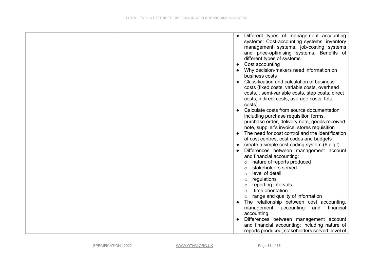|  | Different types of management accounting          |
|--|---------------------------------------------------|
|  | systems: Cost-accounting systems, inventory       |
|  | management systems, job-costing systems           |
|  | and price-optimising systems. Benefits of         |
|  | different types of systems.                       |
|  | Cost accounting<br>$\bullet$                      |
|  | Why decision-makers need information on           |
|  | business costs                                    |
|  | Classification and calculation of business        |
|  | costs (fixed costs, variable costs, overhead      |
|  | costs, , semi-variable costs, step costs, direct  |
|  | costs, indirect costs, average costs, total       |
|  | costs)                                            |
|  | Calculate costs from source documentation         |
|  | including purchase requisition forms,             |
|  | purchase order, delivery note, goods received     |
|  | note, supplier's invoice, stores requisition      |
|  | The need for cost control and the identification  |
|  | of cost centres, cost codes and budgets           |
|  | create a simple cost coding system (6 digit)      |
|  | Differences between management account            |
|  | and financial accounting:                         |
|  | nature of reports produced<br>stakeholders served |
|  | $\circ$<br>level of detail;                       |
|  | $\circ$<br>regulations<br>$\circ$                 |
|  | reporting intervals<br>$\circ$                    |
|  | time orientation<br>$\circ$                       |
|  | range and quality of information                  |
|  | The relationship between cost accounting,         |
|  | financial<br>management<br>accounting<br>and      |
|  | accounting:                                       |
|  | Differences between management account            |
|  | and financial accounting: including nature of     |
|  | reports produced; stakeholders served; level of   |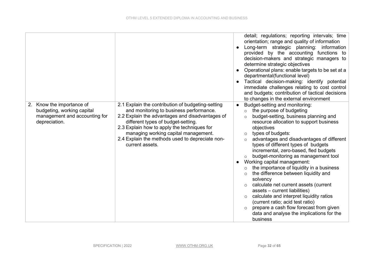|                                                                                                           |                                                                                                                                                                                                                                                                                                                                                    | detail; regulations; reporting intervals; time<br>orientation; range and quality of information<br>Long-term strategic planning: information<br>provided by the accounting functions to<br>decision-makers and strategic managers to<br>determine strategic objectives<br>Operational plans: enable targets to be set at a<br>departmental(functional level)<br>Tactical decision-making: identify potential<br>immediate challenges relating to cost control<br>and budgets; contribution of tactical decisions<br>to changes in the external environment                                                                                                                                                                                                                                                             |
|-----------------------------------------------------------------------------------------------------------|----------------------------------------------------------------------------------------------------------------------------------------------------------------------------------------------------------------------------------------------------------------------------------------------------------------------------------------------------|------------------------------------------------------------------------------------------------------------------------------------------------------------------------------------------------------------------------------------------------------------------------------------------------------------------------------------------------------------------------------------------------------------------------------------------------------------------------------------------------------------------------------------------------------------------------------------------------------------------------------------------------------------------------------------------------------------------------------------------------------------------------------------------------------------------------|
| 2. Know the importance of<br>budgeting, working capital<br>management and accounting for<br>depreciation. | 2.1 Explain the contribution of budgeting-setting<br>and monitoring to business performance.<br>2.2 Explain the advantages and disadvantages of<br>different types of budget-setting.<br>2.3 Explain how to apply the techniques for<br>managing working capital management.<br>2.4 Explain the methods used to depreciate non-<br>current assets. | Budget-setting and monitoring:<br>the purpose of budgeting<br>$\circ$<br>budget-setting, business planning and<br>$\circ$<br>resource allocation to support business<br>objectives<br>types of budgets:<br>$\circ$<br>advantages and disadvantages of different<br>types of different types of budgets<br>incremental, zero-based, fled budgets<br>budget-monitoring as management tool<br>Working capital management:<br>the importance of liquidity in a business<br>$\circ$<br>the difference between liquidity and<br>$\circ$<br>solvency<br>calculate net current assets (current<br>assets – current liabilities)<br>calculate and interpret liquidity ratios<br>$\circ$<br>(current ratio; acid test ratio)<br>prepare a cash flow forecast from given<br>data and analyse the implications for the<br>business |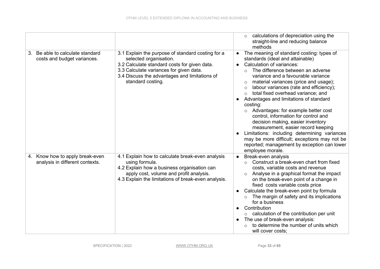|                                                                    |                                                                                                                                                                                                                                              | calculations of depreciation using the<br>$\circ$<br>straight-line and reducing balance<br>methods                                                                                                                                                                                                                                                                                                                                                                                                                                                                                                                                                                                                                                                                      |
|--------------------------------------------------------------------|----------------------------------------------------------------------------------------------------------------------------------------------------------------------------------------------------------------------------------------------|-------------------------------------------------------------------------------------------------------------------------------------------------------------------------------------------------------------------------------------------------------------------------------------------------------------------------------------------------------------------------------------------------------------------------------------------------------------------------------------------------------------------------------------------------------------------------------------------------------------------------------------------------------------------------------------------------------------------------------------------------------------------------|
| 3. Be able to calculate standard<br>costs and budget variances.    | 3.1 Explain the purpose of standard costing for a<br>selected organisation.<br>3.2 Calculate standard costs for given data.<br>3.3 Calculate variances for given data.<br>3.4 Discuss the advantages and limitations of<br>standard costing. | The meaning of standard costing: types of<br>$\bullet$<br>standards (ideal and attainable)<br>Calculation of variances:<br>The difference between an adverse<br>$\Omega$<br>variance and a favourable variance<br>material variances (price and usage);<br>$\circ$<br>labour variances (rate and efficiency);<br>$\circ$<br>total fixed overhead variance; and<br>$\circ$<br>Advantages and limitations of standard<br>costing:<br>Advantages: for example better cost<br>$\circ$<br>control, information for control and<br>decision making, easier inventory<br>measurement, easier record keeping<br>Limitations: including determining variances<br>may be more difficult; exceptions may not be<br>reported; management by exception can lower<br>employee morale. |
| 4. Know how to apply break-even<br>analysis in different contexts. | 4.1 Explain how to calculate break-even analysis<br>using formula.<br>4.2 Explain how a business organisation can<br>apply cost, volume and profit analysis.<br>4.3 Explain the limitations of break-even analysis.                          | Break-even analysis<br>Construct a break-even chart from fixed<br>$\Omega$<br>costs, variable costs and revenue<br>Analyse in a graphical format the impact<br>$\circ$<br>on the break-even point of a change in<br>fixed costs variable costs price<br>Calculate the break-even point by formula<br>The margin of safety and its implications<br>$\circ$<br>for a business<br>Contribution<br>calculation of the contribution per unit<br>$\circ$<br>The use of break-even analysis:<br>$\bullet$<br>to determine the number of units which<br>$\Omega$<br>will cover costs;                                                                                                                                                                                           |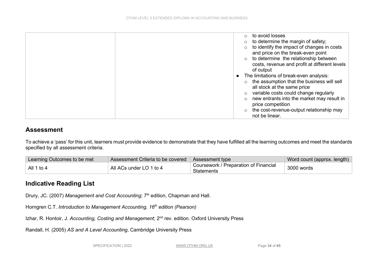| to avoid losses<br>$\circ$                         |
|----------------------------------------------------|
| $\circ$ to determine the margin of safety;         |
| $\circ$ to identify the impact of changes in costs |
| and price on the break-even point                  |
| $\circ$ to determine the relationship between      |
| costs, revenue and profit at different levels      |
| of output                                          |
| The limitations of break-even analysis:            |
| $\circ$ the assumption that the business will sell |
| all stock at the same price                        |
| variable costs could change regularly              |
| $\circ$ new entrants into the market may result in |
| price competition                                  |
| $\circ$ the cost-revenue-output relationship may   |
| not be linear.                                     |

To achieve a 'pass' for this unit, learners must provide evidence to demonstrate that they have fulfilled all the learning outcomes and meet the standards specified by all assessment criteria.

| Learning Outcomes to be met | Assessment Criteria to be covered   Assessment type |                                                            | Word count (approx. length) |
|-----------------------------|-----------------------------------------------------|------------------------------------------------------------|-----------------------------|
| All 1 to 4                  | All ACs under LO 1 to 4                             | Coursework / Preparation of Financial<br><b>Statements</b> | 3000 words                  |

## **Indicative Reading List**

Drury, JC. (2007) Management and Cost Accounting; 7<sup>th</sup> edition, Chapman and Hall.

Horngren C.T. *Introduction to Management Accounting, 16th edition (Pearson)*

Izhar, R. Hontoir, J. *Accounting, Costing and Management*; 2<sup>nd</sup> rev. edition. Oxford University Press

Randall, H. (2005) *AS and A Level Accounting*, Cambridge University Press

SPECIFICATION | 2022 [WWW.OTHM.ORG.UK](http://www.othm.org.uk/) Page 34 of 65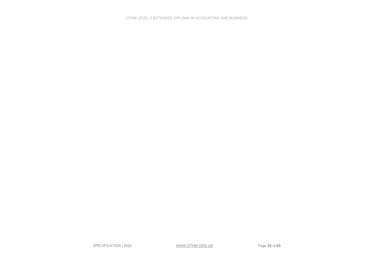OTHM LEVEL 5 EXTENDED DIPLOMA IN ACCOUNTING AND BUSINESS

SPECIFICATION | 2022 WWW.OTHM.ORG.UK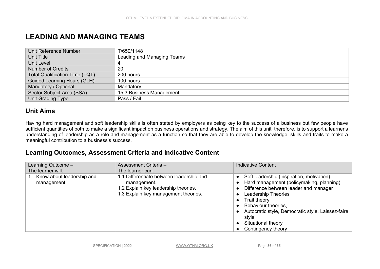## **LEADING AND MANAGING TEAMS**

| Unit Reference Number                 | T/650/1148                 |
|---------------------------------------|----------------------------|
| Unit Title                            | Leading and Managing Teams |
| <b>Unit Level</b>                     |                            |
| <b>Number of Credits</b>              | 20                         |
| <b>Total Qualification Time (TQT)</b> | 200 hours                  |
| <b>Guided Learning Hours (GLH)</b>    | 100 hours                  |
| Mandatory / Optional                  | Mandatory                  |
| Sector Subject Area (SSA)             | 15.3 Business Management   |
| Unit Grading Type                     | Pass / Fail                |

#### **Unit Aims**

Having hard management and soft leadership skills is often stated by employers as being key to the success of a business but few people have sufficient quantities of both to make a significant impact on business operations and strategy. The aim of this unit, therefore, is to support a learner's understanding of leadership as a role and management as a function so that they are able to develop the knowledge, skills and traits to make a meaningful contribution to a business's success.

<span id="page-35-0"></span>

| Learning Outcome -<br>The learner will:  | Assessment Criteria -<br>The learner can:                                                                                               | <b>Indicative Content</b>                                                                                                                                                                                                                                                                                                               |
|------------------------------------------|-----------------------------------------------------------------------------------------------------------------------------------------|-----------------------------------------------------------------------------------------------------------------------------------------------------------------------------------------------------------------------------------------------------------------------------------------------------------------------------------------|
| Know about leadership and<br>management. | 1.1 Differentiate between leadership and<br>management.<br>1.2 Explain key leadership theories.<br>1.3 Explain key management theories. | Soft leadership (inspiration, motivation)<br>$\bullet$<br>Hard management (policymaking, planning)<br>Difference between leader and manager<br><b>Leadership Theories</b><br>Trait theory<br>Behaviour theories,<br>$\bullet$<br>Autocratic style, Democratic style, Laissez-faire<br>style<br>Situational theory<br>Contingency theory |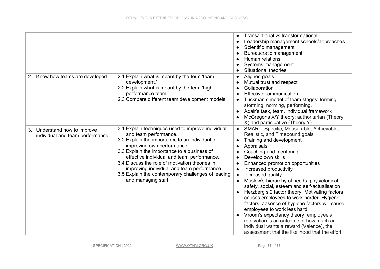|                                                                  |                                                                                                                                                                                                                                                                                                                                                                                                                                      | Transactional vs transformational<br>Leadership management schools/approaches<br>Scientific management<br>$\bullet$<br>Bureaucratic management<br>Human relations<br>Systems management<br><b>Situational theories</b>                                                                                                                                                                                                                                                                                                                                                                                                                                                                                                                                            |
|------------------------------------------------------------------|--------------------------------------------------------------------------------------------------------------------------------------------------------------------------------------------------------------------------------------------------------------------------------------------------------------------------------------------------------------------------------------------------------------------------------------|-------------------------------------------------------------------------------------------------------------------------------------------------------------------------------------------------------------------------------------------------------------------------------------------------------------------------------------------------------------------------------------------------------------------------------------------------------------------------------------------------------------------------------------------------------------------------------------------------------------------------------------------------------------------------------------------------------------------------------------------------------------------|
| 2. Know how teams are developed.                                 | 2.1 Explain what is meant by the term 'team<br>development.'<br>2.2 Explain what is meant by the term 'high<br>performance team.'<br>2.3 Compare different team development models.                                                                                                                                                                                                                                                  | Aligned goals<br>Mutual trust and respect<br>Collaboration<br>Effective communication<br>Tuckman's model of team stages: forming,<br>storming, norming, performing.<br>Adair's task, team, individual framework<br>$\bullet$<br>McGregor's X/Y theory: authoritarian (Theory<br>X) and participative (Theory Y)                                                                                                                                                                                                                                                                                                                                                                                                                                                   |
| 3. Understand how to improve<br>individual and team performance. | 3.1 Explain techniques used to improve individual<br>and team performance.<br>3.2 Explain the importance to an individual of<br>improving own performance.<br>3.3 Explain the importance to a business of<br>effective individual and team performance.<br>3.4 Discuss the role of motivation theories in<br>improving individual and team performance.<br>3.5 Explain the contemporary challenges of leading<br>and managing staff. | SMART: Specific, Measurable, Achievable,<br>$\bullet$<br>Realistic, and Timebound goals<br>Training and development<br>Appraisals<br>$\bullet$<br>Coaching and mentoring<br>Develop own skills<br>Enhanced promotion opportunities<br>Increased productivity<br>$\bullet$<br>Increased quality<br>Maslow's hierarchy of needs: physiological,<br>safety, social, esteem and self-actualisation<br>Herzberg's 2 factor theory: Motivating factors;<br>causes employees to work harder. Hygiene<br>factors: absence of hygiene factors will cause<br>employees to work less hard.<br>Vroom's expectancy theory: employee's<br>motivation is an outcome of how much an<br>individual wants a reward (Valence), the<br>assessment that the likelihood that the effort |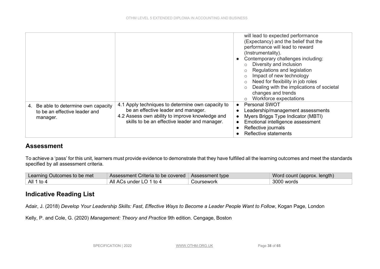|                                                                                   |                                                                                                                                                                                              | will lead to expected performance<br>(Expectancy) and the belief that the<br>performance will lead to reward<br>(Instrumentality).<br>Contemporary challenges including:<br>Diversity and inclusion<br>Regulations and legislation<br>Impact of new technology<br>Need for flexibility in job roles<br>Dealing with the implications of societal<br>changes and trends<br>Workforce expectations<br>$\circ$ |
|-----------------------------------------------------------------------------------|----------------------------------------------------------------------------------------------------------------------------------------------------------------------------------------------|-------------------------------------------------------------------------------------------------------------------------------------------------------------------------------------------------------------------------------------------------------------------------------------------------------------------------------------------------------------------------------------------------------------|
| 4. Be able to determine own capacity<br>to be an effective leader and<br>manager. | 4.1 Apply techniques to determine own capacity to<br>be an effective leader and manager.<br>4.2 Assess own ability to improve knowledge and<br>skills to be an effective leader and manager. | <b>Personal SWOT</b><br>$\bullet$<br>Leadership/management assessments<br>$\bullet$<br>Myers Briggs Type Indicator (MBTI)<br>$\bullet$<br>Emotional intelligence assessment<br>$\bullet$<br>Reflective journals<br>Reflective statements                                                                                                                                                                    |

To achieve a 'pass' for this unit, learners must provide evidence to demonstrate that they have fulfilled all the learning outcomes and meet the standards specified by all assessment criteria.

| Learning Outcomes to be met | Assessment Criteria to be covered   Assessment type |            | Word count (approx. length) |
|-----------------------------|-----------------------------------------------------|------------|-----------------------------|
| All 1 to 4                  | All ACs under LO 1 to 4                             | Coursework | 3000 words                  |

### **Indicative Reading List**

Adair, J. (2018) *Develop Your Leadership Skills: Fast, Effective Ways to Become a Leader People Want to Follow*, Kogan Page, London

Kelly, P. and Cole, G. (2020) *Management: Theory and Practice* 9th edition. Cengage, Boston

SPECIFICATION | 2022 [WWW.OTHM.ORG.UK](http://www.othm.org.uk/) Page 38 of 65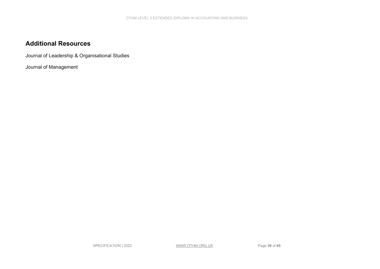## **Additional Resources**

Journal of Leadership & Organisational Studies

Journal of Management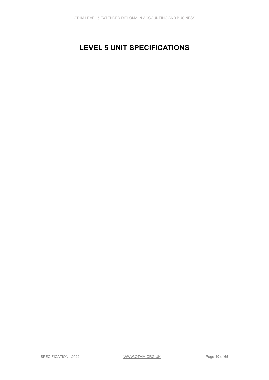# <span id="page-39-0"></span>**LEVEL 5 UNIT SPECIFICATIONS**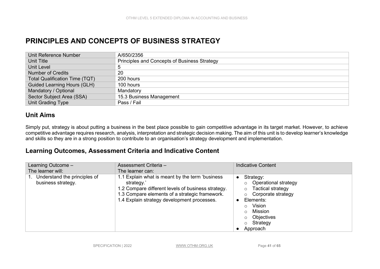## **PRINCIPLES AND CONCEPTS OF BUSINESS STRATEGY**

| Unit Reference Number                 | A/650/2356                                   |
|---------------------------------------|----------------------------------------------|
| Unit Title                            | Principles and Concepts of Business Strategy |
| <b>Unit Level</b>                     | C                                            |
| <b>Number of Credits</b>              | 20                                           |
| <b>Total Qualification Time (TQT)</b> | 200 hours                                    |
| <b>Guided Learning Hours (GLH)</b>    | 100 hours                                    |
| Mandatory / Optional                  | Mandatory                                    |
| Sector Subject Area (SSA)             | 15.3 Business Management                     |
| Unit Grading Type                     | Pass / Fail                                  |

#### **Unit Aims**

Simply put, strategy is about putting a business in the best place possible to gain competitive advantage in its target market. However, to achieve competitive advantage requires research, analysis, interpretation and strategic decision making. The aim of this unit is to develop learner's knowledge and skills so they are in a strong position to contribute to an organisation's strategy development and implementation.

<span id="page-40-0"></span>

| Learning Outcome -<br>The learner will:            | Assessment Criteria -<br>The learner can:                                                                                                                                                                            | <b>Indicative Content</b>                                                                                                                                                |
|----------------------------------------------------|----------------------------------------------------------------------------------------------------------------------------------------------------------------------------------------------------------------------|--------------------------------------------------------------------------------------------------------------------------------------------------------------------------|
| Understand the principles of<br>business strategy. | 1.1 Explain what is meant by the term 'business<br>strategy.'<br>1.2 Compare different levels of business strategy.<br>1.3 Compare elements of a strategic framework.<br>1.4 Explain strategy development processes. | Strategy:<br>$\bullet$<br>Operational strategy<br><b>Tactical strategy</b><br>Corporate strategy<br>Elements:<br>Vision<br>Mission<br>Objectives<br>Strategy<br>Approach |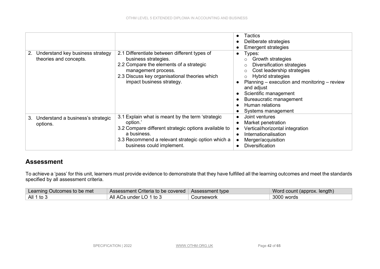| 2. | Understand key business strategy<br>theories and concepts. | 2.1 Differentiate between different types of<br>business strategies.<br>2.2 Compare the elements of a strategic<br>management process.<br>2.3 Discuss key organisational theories which<br>impact business strategy.  | Tactics<br>$\bullet$<br>Deliberate strategies<br><b>Emergent strategies</b><br>Types:<br>$\bullet$<br><b>Growth strategies</b><br>Diversification strategies<br>Cost leadership strategies<br>O<br>Hybrid strategies<br>$\circ$<br>Planning – execution and monitoring – review<br>$\bullet$<br>and adjust<br>Scientific management<br>Bureaucratic management<br>Human relations<br>Systems management |
|----|------------------------------------------------------------|-----------------------------------------------------------------------------------------------------------------------------------------------------------------------------------------------------------------------|---------------------------------------------------------------------------------------------------------------------------------------------------------------------------------------------------------------------------------------------------------------------------------------------------------------------------------------------------------------------------------------------------------|
| 3. | Understand a business's strategic<br>options.              | 3.1 Explain what is meant by the term 'strategic<br>option.'<br>3.2 Compare different strategic options available to<br>a business.<br>3.3 Recommend a relevant strategic option which a<br>business could implement. | Joint ventures<br>$\bullet$<br>Market penetration<br>Vertical/horizontal integration<br>$\bullet$<br>Internationalisation<br>$\bullet$<br>Merger/acquisition<br>$\bullet$<br><b>Diversification</b><br>$\bullet$                                                                                                                                                                                        |

To achieve a 'pass' for this unit, learners must provide evidence to demonstrate that they have fulfilled all the learning outcomes and meet the standards specified by all assessment criteria.

| Learning Outcomes to be met | Assessment Criteria to be covered   Assessment type |            | Word count (approx. length) |
|-----------------------------|-----------------------------------------------------|------------|-----------------------------|
| All 1 to 3                  | All ACs under LO 1 to 3                             | Coursework | 3000 words                  |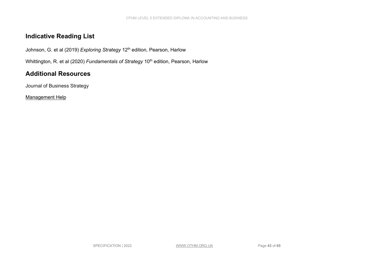### **Indicative Reading List**

Johnson, G. et al (2019) *Exploring Strategy* 12<sup>th</sup> edition, Pearson, Harlow

Whittington, R. et al (2020) *Fundamentals of Strategy* 10<sup>th</sup> edition, Pearson, Harlow

#### **Additional Resources**

Journal of Business Strategy

[Management Help](https://managementhelp.org/)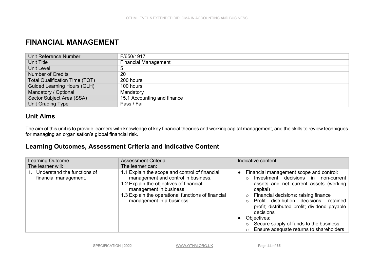## **FINANCIAL MANAGEMENT**

| Unit Reference Number                 | F/650/1917                  |
|---------------------------------------|-----------------------------|
| Unit Title                            | <b>Financial Management</b> |
| <b>Unit Level</b>                     | ა                           |
| <b>Number of Credits</b>              | 20                          |
| <b>Total Qualification Time (TQT)</b> | 200 hours                   |
| <b>Guided Learning Hours (GLH)</b>    | 100 hours                   |
| Mandatory / Optional                  | Mandatory                   |
| Sector Subject Area (SSA)             | 15.1 Accounting and finance |
| Unit Grading Type                     | Pass / Fail                 |

#### **Unit Aims**

The aim of this unit is to provide learners with knowledge of key financial theories and working capital management, and the skills to review techniques for managing an organisation's global financial risk.

<span id="page-43-0"></span>

| Learning Outcome -<br>The learner will:              | Assessment Criteria -<br>The learner can:                                                                                                                                                                                                      | Indicative content                                                                                                                                                                                                                                                                                                                                                                                                                                      |
|------------------------------------------------------|------------------------------------------------------------------------------------------------------------------------------------------------------------------------------------------------------------------------------------------------|---------------------------------------------------------------------------------------------------------------------------------------------------------------------------------------------------------------------------------------------------------------------------------------------------------------------------------------------------------------------------------------------------------------------------------------------------------|
| Understand the functions of<br>financial management. | 1.1 Explain the scope and control of financial<br>management and control in business.<br>1.2 Explain the objectives of financial<br>management in business.<br>1.3 Explain the operational functions of financial<br>management in a business. | Financial management scope and control:<br>$\bullet$<br>Investment decisions in non-current<br>$\Omega$<br>assets and net current assets (working<br>capital)<br>Financial decisions: raising finance<br>$\circ$<br>Profit distribution decisions:<br>retained<br>profit; distributed profit; dividend payable<br>decisions<br>Objectives:<br>$\bullet$<br>Secure supply of funds to the business<br>$\circ$<br>Ensure adequate returns to shareholders |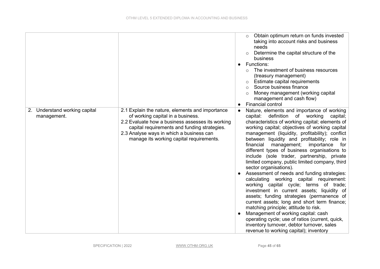|                                              |                                                                                                                                                                                                                                                                                  | Obtain optimum return on funds invested<br>taking into account risks and business<br>needs<br>Determine the capital structure of the<br>business<br>Functions:<br>The investment of business resources<br>$\circ$<br>(treasury management)<br>Estimate capital requirements<br>Source business finance<br>$\circ$<br>Money management (working capital<br>$\circ$<br>management and cash flow)<br><b>Financial control</b><br>$\bullet$                                                                                                                                                                                                                                                                                                                                                                                                                                                                                                                                                                                                |
|----------------------------------------------|----------------------------------------------------------------------------------------------------------------------------------------------------------------------------------------------------------------------------------------------------------------------------------|----------------------------------------------------------------------------------------------------------------------------------------------------------------------------------------------------------------------------------------------------------------------------------------------------------------------------------------------------------------------------------------------------------------------------------------------------------------------------------------------------------------------------------------------------------------------------------------------------------------------------------------------------------------------------------------------------------------------------------------------------------------------------------------------------------------------------------------------------------------------------------------------------------------------------------------------------------------------------------------------------------------------------------------|
| 2. Understand working capital<br>management. | 2.1 Explain the nature, elements and importance<br>of working capital in a business.<br>2.2 Evaluate how a business assesses its working<br>capital requirements and funding strategies.<br>2.3 Analyse ways in which a business can<br>manage its working capital requirements. | Nature, elements and importance of working<br>capital: definition of working<br>capital;<br>characteristics of working capital; elements of<br>working capital; objectives of working capital<br>management (liquidity, profitability); conflict<br>between liquidity and profitability; role in<br>management;<br>importance<br>financial<br>for<br>different types of business organisations to<br>include (sole trader, partnership, private<br>limited company, public limited company, third<br>sector organisations).<br>Assessment of needs and funding strategies:<br>calculating working capital requirement:<br>working capital cycle; terms of trade;<br>investment in current assets; liquidity of<br>assets; funding strategies (permanence of<br>current assets; long and short term finance;<br>matching principle; attitude to risk.<br>Management of working capital: cash<br>operating cycle; use of ratios (current, quick,<br>inventory turnover, debtor turnover, sales<br>revenue to working capital); inventory |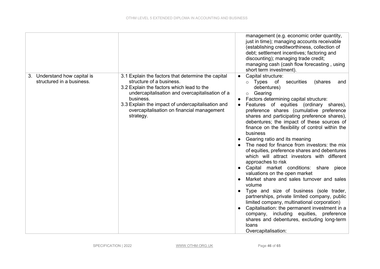|                                                           |                                                                                                                                                                                                                                                                                                             | management (e.g. economic order quantity,<br>just in time); managing accounts receivable<br>(establishing creditworthiness, collection of<br>debt; settlement incentives; factoring and<br>discounting); managing trade credit;<br>managing cash (cash flow forecasting, using<br>short term investment).                                                                                                                                                                                                                                                                                                                                                                                                                                                                                                                                                                                                                                                                                                                                                                   |
|-----------------------------------------------------------|-------------------------------------------------------------------------------------------------------------------------------------------------------------------------------------------------------------------------------------------------------------------------------------------------------------|-----------------------------------------------------------------------------------------------------------------------------------------------------------------------------------------------------------------------------------------------------------------------------------------------------------------------------------------------------------------------------------------------------------------------------------------------------------------------------------------------------------------------------------------------------------------------------------------------------------------------------------------------------------------------------------------------------------------------------------------------------------------------------------------------------------------------------------------------------------------------------------------------------------------------------------------------------------------------------------------------------------------------------------------------------------------------------|
| 3. Understand how capital is<br>structured in a business. | 3.1 Explain the factors that determine the capital<br>structure of a business.<br>3.2 Explain the factors which lead to the<br>undercapitalisation and overcapitalisation of a<br>business.<br>3.3 Explain the impact of undercapitalisation and<br>overcapitalisation on financial management<br>strategy. | Capital structure:<br>$\circ$ Types of<br>securities<br>(shares<br>and<br>debentures)<br>Gearing<br>$\circ$<br>Factors determining capital structure:<br>Features of equities (ordinary shares),<br>preference shares (cumulative preference<br>shares and participating preference shares),<br>debentures; the impact of these sources of<br>finance on the flexibility of control within the<br>business<br>Gearing ratio and its meaning<br>The need for finance from investors: the mix<br>of equities, preference shares and debentures<br>which will attract investors with different<br>approaches to risk<br>Capital market conditions: share<br>piece<br>valuations on the open market<br>Market share and sales turnover and sales<br>volume<br>Type and size of business (sole trader,<br>partnerships, private limited company, public<br>limited company, multinational corporation)<br>Capitalisation: the permanent investment in a<br>company, including equities, preference<br>shares and debentures, excluding long-term<br>loans<br>Overcapitalisation: |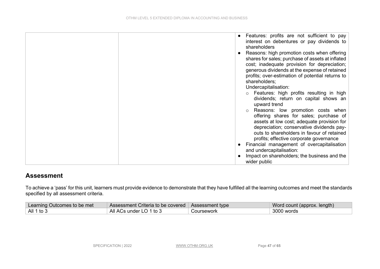|  | Features: profits are not sufficient to pay<br>interest on debentures or pay dividends to<br>shareholders<br>Reasons: high promotion costs when offering<br>shares for sales; purchase of assets at inflated<br>cost; inadequate provision for depreciation;<br>generous dividends at the expense of retained<br>profits; over-estimation of potential returns to<br>shareholders;<br>Undercapitalisation:<br>$\circ$ Features: high profits resulting in high<br>dividends; return on capital shows an<br>upward trend<br>Reasons: low promotion costs when<br>offering shares for sales; purchase of<br>assets at low cost; adequate provision for<br>depreciation; conservative dividends pay-<br>outs to shareholders in favour of retained |
|--|-------------------------------------------------------------------------------------------------------------------------------------------------------------------------------------------------------------------------------------------------------------------------------------------------------------------------------------------------------------------------------------------------------------------------------------------------------------------------------------------------------------------------------------------------------------------------------------------------------------------------------------------------------------------------------------------------------------------------------------------------|
|  | profits; effective corporate governance                                                                                                                                                                                                                                                                                                                                                                                                                                                                                                                                                                                                                                                                                                         |
|  | Financial management of overcapitalisation<br>and undercapitalisation:                                                                                                                                                                                                                                                                                                                                                                                                                                                                                                                                                                                                                                                                          |
|  | Impact on shareholders; the business and the<br>wider public                                                                                                                                                                                                                                                                                                                                                                                                                                                                                                                                                                                                                                                                                    |

To achieve a 'pass' for this unit, learners must provide evidence to demonstrate that they have fulfilled all the learning outcomes and meet the standards specified by all assessment criteria.

| Learning Outcomes to be met | Assessment Criteria to be covered   Assessment type |            | Word count (approx. length) |
|-----------------------------|-----------------------------------------------------|------------|-----------------------------|
| All 1 to 3                  | All ACs under LO 1 to 3                             | Coursework | 3000 words                  |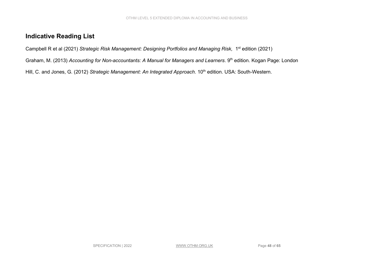### **Indicative Reading List**

Campbell R et al (2021) *Strategic Risk Management: Designing Portfolios and Managing Risk,* 1<sup>st</sup> edition (2021)

Graham, M. (2013) *Accounting for Non-accountants: A Manual for Managers and Learners*. 9<sup>th</sup> edition. Kogan Page: London

Hill, C. and Jones, G. (2012) *Strategic Management: An Integrated Approach*. 10<sup>th</sup> edition. USA: South-Western.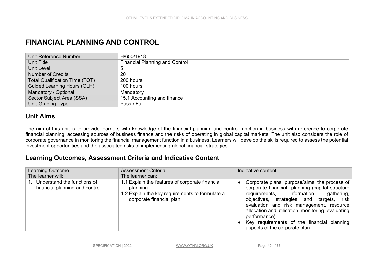## **FINANCIAL PLANNING AND CONTROL**

| Unit Reference Number                 | H/650/1918                            |
|---------------------------------------|---------------------------------------|
| Unit Title                            | <b>Financial Planning and Control</b> |
| <b>Unit Level</b>                     | ა                                     |
| <b>Number of Credits</b>              | 20                                    |
| <b>Total Qualification Time (TQT)</b> | 200 hours                             |
| <b>Guided Learning Hours (GLH)</b>    | 100 hours                             |
| Mandatory / Optional                  | Mandatory                             |
| Sector Subject Area (SSA)             | 15.1 Accounting and finance           |
| Unit Grading Type                     | Pass / Fail                           |

#### **Unit Aims**

<span id="page-48-0"></span>The aim of this unit is to provide learners with knowledge of the financial planning and control function in business with reference to corporate financial planning, accessing sources of business finance and the risks of operating in global capital markets. The unit also considers the role of corporate governance in monitoring the financial management function in a business. Learners will develop the skills required to assess the potential investment opportunities and the associated risks of implementing global financial strategies.

| Learning Outcome -<br>The learner will:                           | Assessment Criteria -<br>The learner can:                                                                                                    | Indicative content                                                                                                                                                                                                                                                                                                                                                                                     |
|-------------------------------------------------------------------|----------------------------------------------------------------------------------------------------------------------------------------------|--------------------------------------------------------------------------------------------------------------------------------------------------------------------------------------------------------------------------------------------------------------------------------------------------------------------------------------------------------------------------------------------------------|
| 1. Understand the functions of<br>financial planning and control. | 1.1 Explain the features of corporate financial<br>planning.<br>1.2 Explain the key requirements to formulate a<br>corporate financial plan. | Corporate plans: purpose/aims; the process of<br>$\bullet$<br>corporate financial planning (capital structure<br>requirements, information<br>gathering,<br>objectives, strategies and targets, risk<br>evaluation and risk management, resource<br>allocation and utilisation, monitoring, evaluating<br>performance)<br>Key requirements of the financial planning<br>aspects of the corporate plan: |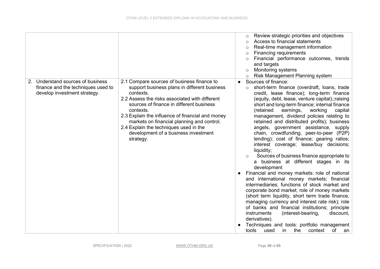|                                                                    |                                                                                                                                                                                                                                                                        | Review strategic priorities and objectives<br>$\circ$                                                                                                                                                                                                                                                                                                                                                                                                                                                                                                                                                                                                                                                                                                                   |
|--------------------------------------------------------------------|------------------------------------------------------------------------------------------------------------------------------------------------------------------------------------------------------------------------------------------------------------------------|-------------------------------------------------------------------------------------------------------------------------------------------------------------------------------------------------------------------------------------------------------------------------------------------------------------------------------------------------------------------------------------------------------------------------------------------------------------------------------------------------------------------------------------------------------------------------------------------------------------------------------------------------------------------------------------------------------------------------------------------------------------------------|
|                                                                    |                                                                                                                                                                                                                                                                        | Access to financial statements<br>$\circ$                                                                                                                                                                                                                                                                                                                                                                                                                                                                                                                                                                                                                                                                                                                               |
|                                                                    |                                                                                                                                                                                                                                                                        | Real-time management information<br>O                                                                                                                                                                                                                                                                                                                                                                                                                                                                                                                                                                                                                                                                                                                                   |
|                                                                    |                                                                                                                                                                                                                                                                        | <b>Financing requirements</b><br>$\circ$                                                                                                                                                                                                                                                                                                                                                                                                                                                                                                                                                                                                                                                                                                                                |
|                                                                    |                                                                                                                                                                                                                                                                        | Financial performance outcomes, trends<br>$\circ$                                                                                                                                                                                                                                                                                                                                                                                                                                                                                                                                                                                                                                                                                                                       |
|                                                                    |                                                                                                                                                                                                                                                                        | and targets                                                                                                                                                                                                                                                                                                                                                                                                                                                                                                                                                                                                                                                                                                                                                             |
|                                                                    |                                                                                                                                                                                                                                                                        | Monitoring systems<br>O                                                                                                                                                                                                                                                                                                                                                                                                                                                                                                                                                                                                                                                                                                                                                 |
|                                                                    |                                                                                                                                                                                                                                                                        | Risk Management Planning system<br>$\circ$                                                                                                                                                                                                                                                                                                                                                                                                                                                                                                                                                                                                                                                                                                                              |
| 2. Understand sources of business                                  | 2.1 Compare sources of business finance to                                                                                                                                                                                                                             | Sources of finance:                                                                                                                                                                                                                                                                                                                                                                                                                                                                                                                                                                                                                                                                                                                                                     |
| finance and the techniques used to<br>develop investment strategy. | support business plans in different business<br>contexts.<br>2.2 Assess the risks associated with different<br>sources of finance in different business<br>contexts.<br>2.3 Explain the influence of financial and money<br>markets on financial planning and control. | short-term finance (overdraft, loans, trade<br>credit, lease finance); long-term finance<br>(equity, debt, lease, venture capital);; raising<br>short and long-term finance; internal finance<br>(retained<br>earnings,<br>working<br>capital<br>management, dividend policies relating to<br>retained and distributed profits); business                                                                                                                                                                                                                                                                                                                                                                                                                               |
|                                                                    | 2.4 Explain the techniques used in the<br>development of a business investment<br>strategy.                                                                                                                                                                            | angels, government assistance, supply<br>chain, crowdfunding, peer-to-peer (P2P)<br>lending); cost of finance; gearing ratios;<br>interest coverage; lease/buy decisions;<br>liquidity;<br>Sources of business finance appropriate to<br>a business at different stages in its<br>development<br>Financial and money markets: role of national<br>and international money markets; financial<br>intermediaries; functions of stock market and<br>corporate bond market; role of money markets<br>(short term liquidity, short term trade finance,<br>managing currency and interest rate risk); role<br>of banks and financial institutions; principle<br>(interest-bearing,<br>instruments<br>discount,<br>derivatives).<br>Techniques and tools: portfolio management |
|                                                                    |                                                                                                                                                                                                                                                                        | tools<br>the<br>context<br>of<br>used<br>in.<br>an                                                                                                                                                                                                                                                                                                                                                                                                                                                                                                                                                                                                                                                                                                                      |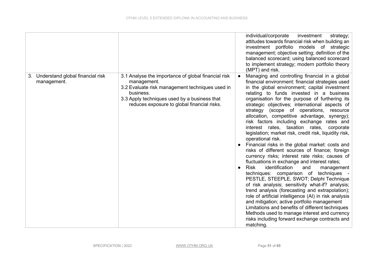|                                                       |                                                                                                                                                                                                                                   | individual/corporate<br>investment<br>strategy;<br>attitudes towards financial risk when building an<br>investment portfolio models of strategic<br>management; objective setting; definition of the<br>balanced scorecard; using balanced scorecard<br>to implement strategy; modern portfolio theory<br>(MPT) and risk.                                                                                                                                                                                                                                                                                                                                                                                                                                                                                                                                                                                                                                                                                                                                                                                                                                                                                                                                                                                      |
|-------------------------------------------------------|-----------------------------------------------------------------------------------------------------------------------------------------------------------------------------------------------------------------------------------|----------------------------------------------------------------------------------------------------------------------------------------------------------------------------------------------------------------------------------------------------------------------------------------------------------------------------------------------------------------------------------------------------------------------------------------------------------------------------------------------------------------------------------------------------------------------------------------------------------------------------------------------------------------------------------------------------------------------------------------------------------------------------------------------------------------------------------------------------------------------------------------------------------------------------------------------------------------------------------------------------------------------------------------------------------------------------------------------------------------------------------------------------------------------------------------------------------------------------------------------------------------------------------------------------------------|
| Understand global financial risk<br>3.<br>management. | 3.1 Analyse the importance of global financial risk<br>management.<br>3.2 Evaluate risk management techniques used in<br>business.<br>3.3 Apply techniques used by a business that<br>reduces exposure to global financial risks. | Managing and controlling financial in a global<br>financial environment: financial strategies used<br>in the global environment; capital investment<br>relating to funds invested in a business<br>organisation for the purpose of furthering its<br>strategic objectives; international aspects of<br>strategy (scope of operations, resource<br>allocation, competitive advantage, synergy);<br>risk factors including exchange rates and<br>interest rates, taxation rates,<br>corporate<br>legislation; market risk, credit risk, liquidity risk,<br>operational risk.<br>Financial risks in the global market: costs and<br>risks of different sources of finance; foreign<br>currency risks; interest rate risks; causes of<br>fluctuations in exchange and interest rates;<br>identification<br><b>Risk</b><br>and<br>management<br>techniques: comparison of techniques -<br>PESTLE, STEEPLE, SWOT; Delphi Technique<br>of risk analysis; sensitivity what-if? analysis;<br>trend analysis (forecasting and extrapolation);<br>role of artificial intelligence (AI) in risk analysis<br>and mitigation; active portfolio management<br>Limitations and benefits of different techniques<br>Methods used to manage interest and currency<br>risks including forward exchange contracts and<br>matching. |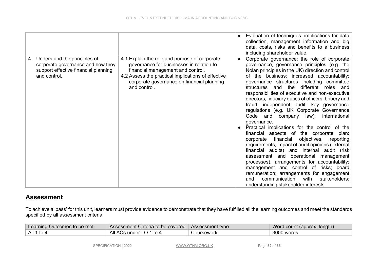|                                                                                                                              |                                                                                                                                                                                                                                                    | Evaluation of techniques: implications for data<br>collection, management information and big<br>data, costs, risks and benefits to a business<br>including shareholder value.                                                                                                                                                                                                                                                                                                                                                                                                                                                                                                                                                                                                                                                                                                                                                                                                                                                                                                        |
|------------------------------------------------------------------------------------------------------------------------------|----------------------------------------------------------------------------------------------------------------------------------------------------------------------------------------------------------------------------------------------------|---------------------------------------------------------------------------------------------------------------------------------------------------------------------------------------------------------------------------------------------------------------------------------------------------------------------------------------------------------------------------------------------------------------------------------------------------------------------------------------------------------------------------------------------------------------------------------------------------------------------------------------------------------------------------------------------------------------------------------------------------------------------------------------------------------------------------------------------------------------------------------------------------------------------------------------------------------------------------------------------------------------------------------------------------------------------------------------|
| 4. Understand the principles of<br>corporate governance and how they<br>support effective financial planning<br>and control. | 4.1 Explain the role and purpose of corporate<br>governance for businesses in relation to<br>financial management and control.<br>4.2 Assess the practical implications of effective<br>corporate governance on financial planning<br>and control. | Corporate governance: the role of corporate<br>governance, governance principles (e.g. the<br>Nolan principles in the UK) direction and control<br>of the business; increased accountability;<br>governance structures including committee<br>and the different roles and<br>structures<br>responsibilities of executive and non-executive<br>directors; fiduciary duties of officers; bribery and<br>fraud; independent audit; key governance<br>regulations (e.g. UK Corporate Governance<br>international<br>Code<br>and company law);<br>governance.<br>Practical implications for the control of the<br>financial aspects of the corporate plan:<br>objectives,<br>financial<br>reporting<br>corporate<br>requirements, impact of audit opinions (external<br>financial audits) and internal audit (risk<br>assessment and operational management<br>processes), arrangements for accountability;<br>management and control of risks; board<br>remuneration; arrangements for engagement<br>communication<br>with<br>stakeholders;<br>and<br>understanding stakeholder interests |

To achieve a 'pass' for this unit, learners must provide evidence to demonstrate that they have fulfilled all the learning outcomes and meet the standards specified by all assessment criteria.

| Learning Outcomes to be met | Assessment Criteria to be covered   Assessment type |            | Word count (approx. length) |
|-----------------------------|-----------------------------------------------------|------------|-----------------------------|
| All 1 to 4                  | All ACs under LO 1 to 4                             | Coursework | 3000 words                  |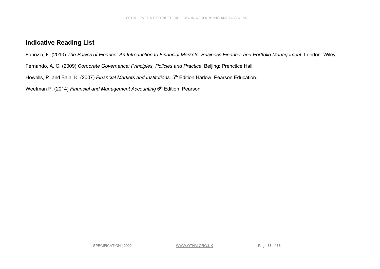## **Indicative Reading List**

- Fabozzi, F. (2010) *The Basics of Finance: An Introduction to Financial Markets, Business Finance, and Portfolio Management*. London: Wiley.
- Fernando, A. C. (2009) *Corporate Governance: Principles, Policies and Practice*. Beijing: Prenctice Hall.
- Howells, P. and Bain, K. (2007) *Financial Markets and Institutions*. 5th Edition Harlow: Pearson Education.

Weetman P. (2014) *Financial and Management Accounting* 6th Edition, Pearson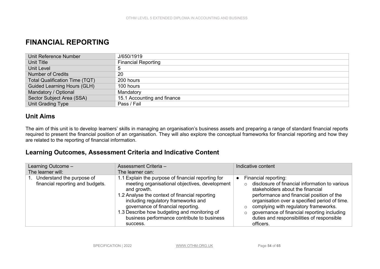## **FINANCIAL REPORTING**

| Unit Reference Number                 | J/650/1919                  |
|---------------------------------------|-----------------------------|
| Unit Title                            | <b>Financial Reporting</b>  |
| <b>Unit Level</b>                     | ა                           |
| <b>Number of Credits</b>              | 20                          |
| <b>Total Qualification Time (TQT)</b> | 200 hours                   |
| <b>Guided Learning Hours (GLH)</b>    | 100 hours                   |
| Mandatory / Optional                  | Mandatory                   |
| Sector Subject Area (SSA)             | 15.1 Accounting and finance |
| Unit Grading Type                     | Pass / Fail                 |

#### **Unit Aims**

<span id="page-53-0"></span>The aim of this unit is to develop learners' skills in managing an organisation's business assets and preparing a range of standard financial reports required to present the financial position of an organisation. They will also explore the conceptual frameworks for financial reporting and how they are related to the reporting of financial information.

| Learning Outcome -<br>The learner will:                       | Assessment Criteria -                                                                                                                                                                                                                                                                                                                                         | Indicative content                                                                                                                                                                                                                                                                                                                                                                            |
|---------------------------------------------------------------|---------------------------------------------------------------------------------------------------------------------------------------------------------------------------------------------------------------------------------------------------------------------------------------------------------------------------------------------------------------|-----------------------------------------------------------------------------------------------------------------------------------------------------------------------------------------------------------------------------------------------------------------------------------------------------------------------------------------------------------------------------------------------|
|                                                               | The learner can:                                                                                                                                                                                                                                                                                                                                              |                                                                                                                                                                                                                                                                                                                                                                                               |
| Understand the purpose of<br>financial reporting and budgets. | 1.1 Explain the purpose of financial reporting for<br>meeting organisational objectives, development<br>and growth.<br>1.2 Analyse the context of financial reporting<br>including regulatory frameworks and<br>governance of financial reporting.<br>1.3 Describe how budgeting and monitoring of<br>business performance contribute to business<br>success. | Financial reporting:<br>disclosure of financial information to various<br>$\Omega$<br>stakeholders about the financial<br>performance and financial position of the<br>organisation over a specified period of time.<br>complying with regulatory frameworks.<br>$\circ$<br>governance of financial reporting including<br>$\circ$<br>duties and responsibilities of responsible<br>officers. |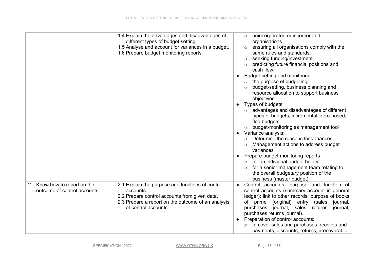|                                                              | 1.4 Explain the advantages and disadvantages of<br>different types of budget-setting.<br>1.5 Analyse and account for variances in a budget.<br>1.6 Prepare budget monitoring reports.        | unincorporated or incorporated<br>$\circ$<br>organisations.<br>ensuring all organisations comply with the<br>same rules and standards.<br>seeking funding/investment.<br>$\circ$<br>predicting future financial positions and<br>cash flow.<br>Budget-setting and monitoring:<br>the purpose of budgeting<br>$\circ$<br>budget-setting, business planning and<br>resource allocation to support business<br>objectives<br>Types of budgets:<br>advantages and disadvantages of different<br>types of budgets, incremental, zero-based,<br>fled budgets<br>budget-monitoring as management tool<br>Variance analysis:<br>Determine the reasons for variances<br>Management actions to address budget<br>$\circ$<br>variances<br>Prepare budget monitoring reports<br>for an individual budget holder<br>$\circ$<br>for a senior management team relating to<br>the overall budgetary position of the<br>business (master budget) |
|--------------------------------------------------------------|----------------------------------------------------------------------------------------------------------------------------------------------------------------------------------------------|---------------------------------------------------------------------------------------------------------------------------------------------------------------------------------------------------------------------------------------------------------------------------------------------------------------------------------------------------------------------------------------------------------------------------------------------------------------------------------------------------------------------------------------------------------------------------------------------------------------------------------------------------------------------------------------------------------------------------------------------------------------------------------------------------------------------------------------------------------------------------------------------------------------------------------|
| 2. Know how to report on the<br>outcome of control accounts. | 2.1 Explain the purpose and functions of control<br>accounts.<br>2.2 Prepare control accounts from given data.<br>2.3 Prepare a report on the outcome of an analysis<br>of control accounts. | Control accounts: purpose and function of<br>$\bullet$<br>control accounts (summary account in general<br>ledger); link to other records; purpose of books<br>of prime (original) entry (sales<br>journal,<br>purchases journal, sales returns<br>journal,<br>purchases returns journal).<br>Preparation of control accounts:<br>to cover sales and purchases, receipts and<br>payments, discounts, returns, irrecoverable                                                                                                                                                                                                                                                                                                                                                                                                                                                                                                      |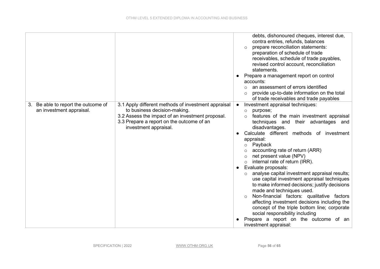|                                                                 |                                                                                                                                                                                                               | debts, dishonoured cheques, interest due,<br>contra entries, refunds, balances<br>prepare reconciliation statements:<br>preparation of schedule of trade<br>receivables, schedule of trade payables,<br>revised control account, reconciliation<br>statements.<br>Prepare a management report on control<br>accounts:<br>an assessment of errors identified<br>provide up-to-date information on the total<br>of trade receivables and trade payables                                                                                                                                                                                                                                                                                                                                                                                                             |
|-----------------------------------------------------------------|---------------------------------------------------------------------------------------------------------------------------------------------------------------------------------------------------------------|-------------------------------------------------------------------------------------------------------------------------------------------------------------------------------------------------------------------------------------------------------------------------------------------------------------------------------------------------------------------------------------------------------------------------------------------------------------------------------------------------------------------------------------------------------------------------------------------------------------------------------------------------------------------------------------------------------------------------------------------------------------------------------------------------------------------------------------------------------------------|
| 3. Be able to report the outcome of<br>an investment appraisal. | 3.1 Apply different methods of investment appraisal<br>to business decision-making.<br>3.2 Assess the impact of an investment proposal.<br>3.3 Prepare a report on the outcome of an<br>investment appraisal. | Investment appraisal techniques:<br>$\bullet$<br>purpose;<br>$\circ$<br>features of the main investment appraisal<br>techniques and their advantages and<br>disadvantages.<br>Calculate different methods of investment<br>$\bullet$<br>appraisal:<br>Payback<br>$\circ$<br>accounting rate of return (ARR)<br>net present value (NPV)<br>$\circ$<br>internal rate of return (IRR).<br>$\circ$<br>Evaluate proposals:<br>analyse capital investment appraisal results;<br>use capital investment appraisal techniques<br>to make informed decisions; justify decisions<br>made and techniques used.<br>Non-financial factors: qualitative factors<br>$\circ$<br>affecting investment decisions including the<br>concept of the triple bottom line; corporate<br>social responsibility including<br>Prepare a report on the outcome of an<br>investment appraisal: |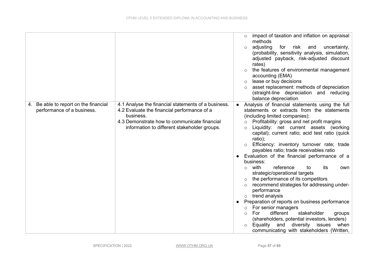|                                                                     |                                                                                                                                                                                                                 | impact of taxation and inflation on appraisal<br>methods                                                                                                                                                                                                                                                                                                                                                                                                                                                                                                                                                                                                                                                                                                                                                                                                                                                                                                        |
|---------------------------------------------------------------------|-----------------------------------------------------------------------------------------------------------------------------------------------------------------------------------------------------------------|-----------------------------------------------------------------------------------------------------------------------------------------------------------------------------------------------------------------------------------------------------------------------------------------------------------------------------------------------------------------------------------------------------------------------------------------------------------------------------------------------------------------------------------------------------------------------------------------------------------------------------------------------------------------------------------------------------------------------------------------------------------------------------------------------------------------------------------------------------------------------------------------------------------------------------------------------------------------|
|                                                                     |                                                                                                                                                                                                                 | adjusting<br>for risk<br>uncertainty,<br>and<br>$\circ$<br>(probability, sensitivity analysis, simulation,<br>adjusted payback, risk-adjusted discount<br>rates)<br>the features of environmental management<br>$\circ$<br>accounting (EMA)<br>lease or buy decisions<br>$\circ$<br>asset replacement: methods of depreciation<br>(straight-line depreciation and reducing                                                                                                                                                                                                                                                                                                                                                                                                                                                                                                                                                                                      |
|                                                                     |                                                                                                                                                                                                                 | balance depreciation                                                                                                                                                                                                                                                                                                                                                                                                                                                                                                                                                                                                                                                                                                                                                                                                                                                                                                                                            |
| 4. Be able to report on the financial<br>performance of a business. | 4.1 Analyse the financial statements of a business.<br>4.2 Evaluate the financial performance of a<br>business.<br>4.3 Demonstrate how to communicate financial<br>information to different stakeholder groups. | Analysis of financial statements using the full<br>statements or extracts from the statements<br>(including limited companies):<br>Profitability: gross and net profit margins<br>$\circ$<br>Liquidity: net current assets (working<br>$\circ$<br>capital); current ratio; acid test ratio (quick)<br>ratio);<br>Efficiency: inventory turnover rate; trade<br>payables ratio; trade receivables ratio<br>Evaluation of the financial performance of a<br>business:<br>reference<br>with<br>its<br>to<br>own<br>$\circ$<br>strategic/operational targets<br>the performance of its competitors<br>recommend strategies for addressing under-<br>performance<br>trend analysis<br>Preparation of reports on business performance<br>For senior managers<br>different<br>stakeholder<br>For<br>groups<br>$\circ$<br>(shareholders, potential investors, lenders)<br>Equality and diversity issues<br>when<br>$\circ$<br>communicating with stakeholders (Written, |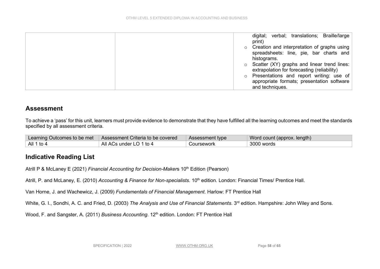| verbal; translations; Braille/large<br>digital;<br>(print<br>Creation and interpretation of graphs using<br>spreadsheets: line, pie, bar charts and |
|-----------------------------------------------------------------------------------------------------------------------------------------------------|
| histograms.<br>$\circ$ Scatter (XY) graphs and linear trend lines:<br>extrapolation for forecasting (reliability)                                   |
| $\circ$ Presentations and report writing: use of<br>appropriate formats; presentation software<br>and techniques.                                   |

To achieve a 'pass' for this unit, learners must provide evidence to demonstrate that they have fulfilled all the learning outcomes and meet the standards specified by all assessment criteria.

| Learning Outcomes to be met | Assessment Criteria to be covered | Assessment type | Word count (approx. length) |
|-----------------------------|-----------------------------------|-----------------|-----------------------------|
| All 1 to 4                  | All ACs under LO 1 to 4           | Coursework      | 3000 words                  |

### **Indicative Reading List**

Atrill P & McLaney E (2021) *Financial Accounting for Decision-Maker*s 10<sup>th</sup> Edition (Pearson)

Atrill, P. and McLaney, E. (2010) *Accounting & Finance for Non-specialists*. 10<sup>th</sup> edition. London: Financial Times/ Prentice Hall.

Van Horne, J. and Wachewicz, J. (2009) *Fundamentals of Financial Management*. Harlow: FT Prentice Hall

White, G. I., Sondhi, A. C. and Fried, D. (2003) *The Analysis and Use of Financial Statements*. 3<sup>rd</sup> edition. Hampshire: John Wiley and Sons.

Wood, F. and Sangster, A. (2011) *Business Accounting*. 12<sup>th</sup> edition. London: FT Prentice Hall

SPECIFICATION | 2022 [WWW.OTHM.ORG.UK](http://www.othm.org.uk/) Page **58** of **65**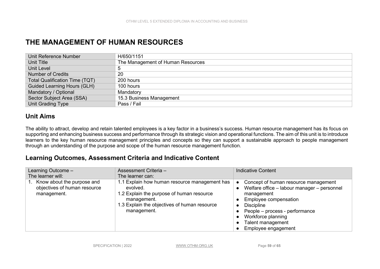## **THE MANAGEMENT OF HUMAN RESOURCES**

| Unit Reference Number                 | H/650/1151                        |
|---------------------------------------|-----------------------------------|
| Unit Title                            | The Management of Human Resources |
| <b>Unit Level</b>                     |                                   |
| <b>Number of Credits</b>              | 20                                |
| <b>Total Qualification Time (TQT)</b> | 200 hours                         |
| <b>Guided Learning Hours (GLH)</b>    | 100 hours                         |
| Mandatory / Optional                  | Mandatory                         |
| Sector Subject Area (SSA)             | 15.3 Business Management          |
| Unit Grading Type                     | Pass / Fail                       |

#### **Unit Aims**

<span id="page-58-0"></span>The ability to attract, develop and retain talented employees is a key factor in a business's success. Human resource management has its focus on supporting and enhancing business success and performance through its strategic vision and operational functions. The aim of this unit is to introduce learners to the key human resource management principles and concepts so they can support a sustainable approach to people management through an understanding of the purpose and scope of the human resource management function.

| Learning Outcome -<br>The learner will:                                   | Assessment Criteria -<br>The learner can:                                                                                                                                            | <b>Indicative Content</b>                                                                                                                                                                                                                                        |
|---------------------------------------------------------------------------|--------------------------------------------------------------------------------------------------------------------------------------------------------------------------------------|------------------------------------------------------------------------------------------------------------------------------------------------------------------------------------------------------------------------------------------------------------------|
| Know about the purpose and<br>objectives of human resource<br>management. | 1.1 Explain how human resource management has<br>evolved.<br>1.2 Explain the purpose of human resource<br>management.<br>1.3 Explain the objectives of human resource<br>management. | Concept of human resource management<br>Welfare office - labour manager - personnel<br>management<br>Employee compensation<br><b>Discipline</b><br>$\bullet$<br>People – process - performance<br>Workforce planning<br>Talent management<br>Employee engagement |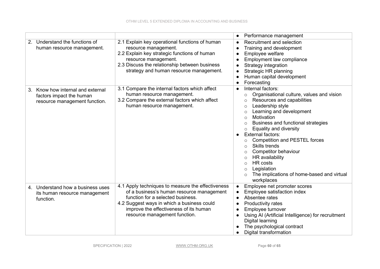|                                                                                                |                                                                                                                                                                                                                                                              | Performance management<br>$\bullet$                                                                                                                                                                                                                                                                                                                                                                                                                                                                                                                                                                                                      |  |
|------------------------------------------------------------------------------------------------|--------------------------------------------------------------------------------------------------------------------------------------------------------------------------------------------------------------------------------------------------------------|------------------------------------------------------------------------------------------------------------------------------------------------------------------------------------------------------------------------------------------------------------------------------------------------------------------------------------------------------------------------------------------------------------------------------------------------------------------------------------------------------------------------------------------------------------------------------------------------------------------------------------------|--|
| 2. Understand the functions of<br>human resource management.                                   | 2.1 Explain key operational functions of human<br>resource management.<br>2.2 Explain key strategic functions of human<br>resource management.<br>2.3 Discuss the relationship between business<br>strategy and human resource management.                   | Recruitment and selection<br>$\bullet$<br>Training and development<br>$\bullet$<br>Employee welfare<br>$\bullet$<br>Employment law compliance<br>$\bullet$<br>Strategy integration<br>$\bullet$<br>Strategic HR planning<br>$\bullet$<br>Human capital development<br>$\bullet$<br>Forecasting<br>$\bullet$                                                                                                                                                                                                                                                                                                                              |  |
| 3. Know how internal and external<br>factors impact the human<br>resource management function. | 3.1 Compare the internal factors which affect<br>human resource management.<br>3.2 Compare the external factors which affect<br>human resource management.                                                                                                   | Internal factors:<br>$\bullet$<br>Organisational culture, values and vision<br>$\circ$<br>Resources and capabilities<br>$\circ$<br>Leadership style<br>$\circ$<br>Learning and development<br>$\circ$<br>Motivation<br>$\circ$<br>Business and functional strategies<br>$\circ$<br><b>Equality and diversity</b><br>$\circ$<br><b>External factors:</b><br>$\bullet$<br><b>Competition and PESTEL forces</b><br>$\circ$<br><b>Skills trends</b><br>$\circ$<br>Competitor behaviour<br>$\circ$<br>HR availability<br>$\circ$<br>HR costs<br>$\circ$<br>Legislation<br>$\circ$<br>The implications of home-based and virtual<br>workplaces |  |
| 4. Understand how a business uses<br>its human resource management<br>function.                | 4.1 Apply techniques to measure the effectiveness<br>of a business's human resource management<br>function for a selected business.<br>4.2 Suggest ways in which a business could<br>improve the effectiveness of its human<br>resource management function. | Employee net promoter scores<br>$\bullet$<br>Employee satisfaction index<br>$\bullet$<br>Absentee rates<br>$\bullet$<br>Productivity rates<br>$\bullet$<br>Employee turnover<br>$\bullet$<br>Using AI (Artificial Intelligence) for recruitment<br>$\bullet$<br>Digital learning<br>The psychological contract<br>Digital transformation                                                                                                                                                                                                                                                                                                 |  |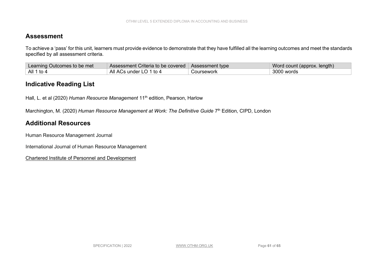To achieve a 'pass' for this unit, learners must provide evidence to demonstrate that they have fulfilled all the learning outcomes and meet the standards specified by all assessment criteria.

| Learning Outcomes to be met | Assessment Criteria to be covered   Assessment type |            | Word count (approx. length) |
|-----------------------------|-----------------------------------------------------|------------|-----------------------------|
| All 1 to 4                  | All ACs under LO 1 to 4                             | Coursework | 3000 words                  |

#### **Indicative Reading List**

Hall, L. et al (2020) *Human Resource Management* 11<sup>th</sup> edition, Pearson, Harlow

Marchington, M. (2020) *Human Resource Management at Work: The Definitive Guide* 7<sup>th</sup> Edition, CIPD, London

## **Additional Resources**

Human Resource Management Journal

International Journal of Human Resource Management

[Chartered Institute of Personnel and Development](https://www.cipd.co.uk/)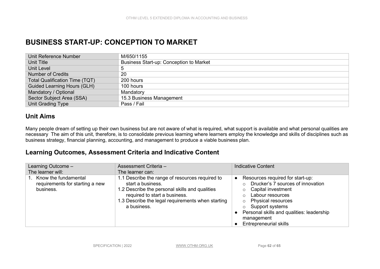## **BUSINESS START-UP: CONCEPTION TO MARKET**

| Unit Reference Number                 | M/650/1155                                     |
|---------------------------------------|------------------------------------------------|
| Unit Title                            | <b>Business Start-up: Conception to Market</b> |
| <b>Unit Level</b>                     |                                                |
| Number of Credits                     | 20                                             |
| <b>Total Qualification Time (TQT)</b> | 200 hours                                      |
| <b>Guided Learning Hours (GLH)</b>    | 100 hours                                      |
| Mandatory / Optional                  | Mandatory                                      |
| Sector Subject Area (SSA)             | 15.3 Business Management                       |
| Unit Grading Type                     | Pass / Fail                                    |

#### **Unit Aims**

<span id="page-61-0"></span>Many people dream of setting up their own business but are not aware of what is required, what support is available and what personal qualities are necessary The aim of this unit, therefore, is to consolidate previous learning where learners employ the knowledge and skills of disciplines such as business strategy, financial planning, accounting, and management to produce a viable business plan.

| Learning Outcome -<br>The learner will:                                 | Assessment Criteria -<br>The learner can:                                                                                                                                                                                   | <b>Indicative Content</b>                                                                                                                                                                                                                                                                                         |
|-------------------------------------------------------------------------|-----------------------------------------------------------------------------------------------------------------------------------------------------------------------------------------------------------------------------|-------------------------------------------------------------------------------------------------------------------------------------------------------------------------------------------------------------------------------------------------------------------------------------------------------------------|
| 1. Know the fundamental<br>requirements for starting a new<br>business. | 1.1 Describe the range of resources required to<br>start a business.<br>1.2 Describe the personal skills and qualities<br>required to start a business.<br>1.3 Describe the legal requirements when starting<br>a business. | Resources required for start-up:<br>$\bullet$<br>Drucker's 7 sources of innovation<br>$\Omega$<br>Capital investment<br>$\circ$<br>Labour resources<br>$\Omega$<br>o Physical resources<br>Support systems<br>$\circ$<br>Personal skills and qualities: leadership<br>management<br><b>Entrepreneurial skills</b> |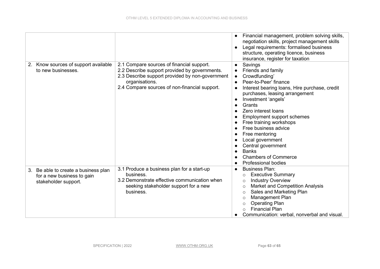|                                                                                               |                                                                                                                                                                                                                  | Financial management, problem solving skills,<br>negotiation skills, project management skills<br>Legal requirements: formalised business<br>structure, operating licence, business<br>insurance, register for taxation                                                                                                                                                                                                                                                                                              |
|-----------------------------------------------------------------------------------------------|------------------------------------------------------------------------------------------------------------------------------------------------------------------------------------------------------------------|----------------------------------------------------------------------------------------------------------------------------------------------------------------------------------------------------------------------------------------------------------------------------------------------------------------------------------------------------------------------------------------------------------------------------------------------------------------------------------------------------------------------|
| Know sources of support available<br>2.<br>to new businesses.                                 | 2.1 Compare sources of financial support.<br>2.2 Describe support provided by governments.<br>2.3 Describe support provided by non-government<br>organisations.<br>2.4 Compare sources of non-financial support. | Savings<br>$\bullet$<br>Friends and family<br>Crowdfunding'<br>$\bullet$<br>Peer-to-Peer' finance<br>Interest bearing loans, Hire purchase, credit<br>purchases, leasing arrangement<br>Investment 'angels'<br>$\bullet$<br>Grants<br>Zero interest loans<br><b>Employment support schemes</b><br>Free training workshops<br>Free business advice<br>Free mentoring<br>Local government<br>Central government<br><b>Banks</b><br>$\bullet$<br><b>Chambers of Commerce</b><br><b>Professional bodies</b><br>$\bullet$ |
| Be able to create a business plan<br>3.<br>for a new business to gain<br>stakeholder support. | 3.1 Produce a business plan for a start-up<br>business.<br>3.2 Demonstrate effective communication when<br>seeking stakeholder support for a new<br>business.                                                    | <b>Business Plan:</b><br><b>Executive Summary</b><br>$\Omega$<br><b>Industry Overview</b><br>$\circ$<br><b>Market and Competition Analysis</b><br>$\circ$<br>Sales and Marketing Plan<br>$\circ$<br>Management Plan<br>$\circ$<br><b>Operating Plan</b><br>$\circ$<br><b>Financial Plan</b><br>$\Omega$<br>Communication: verbal, nonverbal and visual.<br>$\bullet$                                                                                                                                                 |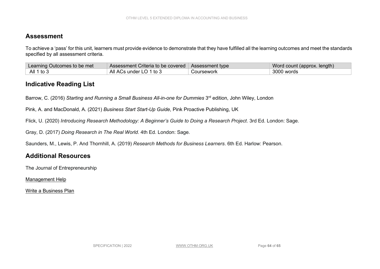To achieve a 'pass' for this unit, learners must provide evidence to demonstrate that they have fulfilled all the learning outcomes and meet the standards specified by all assessment criteria.

| Learning Outcomes to be met | Assessment Criteria to be covered   Assessment type |            | Word count (approx. length) |
|-----------------------------|-----------------------------------------------------|------------|-----------------------------|
| All 1 to 3                  | All ACs under LO 1 to 3                             | Coursework | 3000 words                  |

#### **Indicative Reading List**

Barrow, C. (2016) *Starting and Running a Small Business All-in-one for Dummies* 3<sup>rd</sup> edition, John Wiley, London

Pink, A. and MacDonald, A. (2021) *Business Start Start-Up Guide*, Pink Proactive Publishing, UK

Flick, U. (2020) *Introducing Research Methodology: A Beginner's Guide to Doing a Research Project*. 3rd Ed. London: Sage.

Gray, D. (2017) *Doing Research in The Real World*. 4th Ed. London: Sage.

Saunders, M., Lewis, P. And Thornhill, A. (2019) *Research Methods for Business Learners*. 6th Ed. Harlow: Pearson.

#### **Additional Resources**

The Journal of Entrepreneurship

[Management Help](https://managementhelp.org/)

[Write a Business Plan](https://www.gov.uk/write-business-plan)